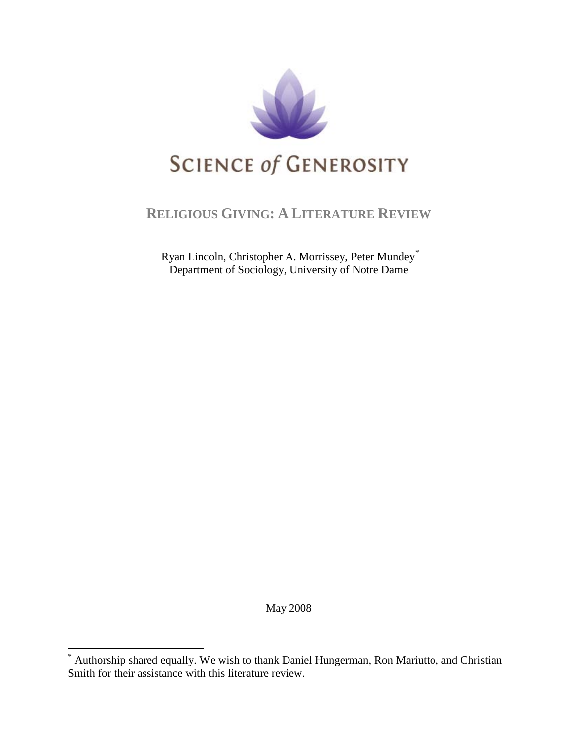

## **RELIGIOUS GIVING: A LITERATURE REVIEW**

Ryan Lincoln, Christopher A. Morrissey, Peter Mundey[\\*](#page-0-0) Department of Sociology, University of Notre Dame

May 2008

<span id="page-0-0"></span>Authorship shared equally. We wish to thank Daniel Hungerman, Ron Mariutto, and Christian Smith for their assistance with this literature review.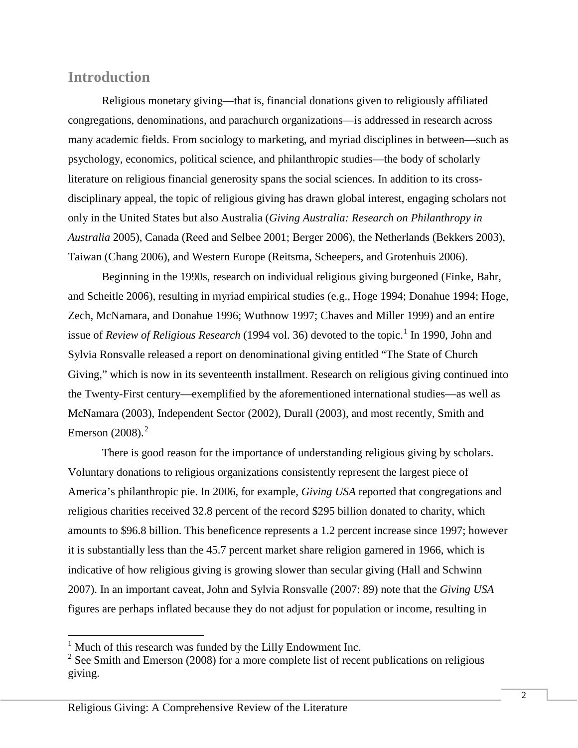### **Introduction**

Religious monetary giving—that is, financial donations given to religiously affiliated congregations, denominations, and parachurch organizations—is addressed in research across many academic fields. From sociology to marketing, and myriad disciplines in between—such as psychology, economics, political science, and philanthropic studies—the body of scholarly literature on religious financial generosity spans the social sciences. In addition to its crossdisciplinary appeal, the topic of religious giving has drawn global interest, engaging scholars not only in the United States but also Australia (*Giving Australia: Research on Philanthropy in Australia* 2005), Canada (Reed and Selbee 2001; Berger 2006), the Netherlands (Bekkers 2003), Taiwan (Chang 2006), and Western Europe (Reitsma, Scheepers, and Grotenhuis 2006).

Beginning in the 1990s, research on individual religious giving burgeoned (Finke, Bahr, and Scheitle 2006), resulting in myriad empirical studies (e.g., Hoge 1994; Donahue 1994; Hoge, Zech, McNamara, and Donahue 1996; Wuthnow 1997; Chaves and Miller 1999) and an entire issue of *Review of Religious Research* ([1](#page-1-0)994 vol. 36) devoted to the topic.<sup>1</sup> In 1990, John and Sylvia Ronsvalle released a report on denominational giving entitled "The State of Church Giving," which is now in its seventeenth installment. Research on religious giving continued into the Twenty-First century—exemplified by the aforementioned international studies—as well as McNamara (2003), Independent Sector (2002), Durall (2003), and most recently, Smith and Emerson  $(2008).<sup>2</sup>$  $(2008).<sup>2</sup>$  $(2008).<sup>2</sup>$ 

There is good reason for the importance of understanding religious giving by scholars. Voluntary donations to religious organizations consistently represent the largest piece of America's philanthropic pie. In 2006, for example, *Giving USA* reported that congregations and religious charities received 32.8 percent of the record \$295 billion donated to charity, which amounts to \$96.8 billion. This beneficence represents a 1.2 percent increase since 1997; however it is substantially less than the 45.7 percent market share religion garnered in 1966, which is indicative of how religious giving is growing slower than secular giving (Hall and Schwinn 2007). In an important caveat, John and Sylvia Ronsvalle (2007: 89) note that the *Giving USA* figures are perhaps inflated because they do not adjust for population or income, resulting in

 $<sup>1</sup>$  Much of this research was funded by the Lilly Endowment Inc.</sup>

<span id="page-1-1"></span><span id="page-1-0"></span> $2$  See Smith and Emerson (2008) for a more complete list of recent publications on religious giving.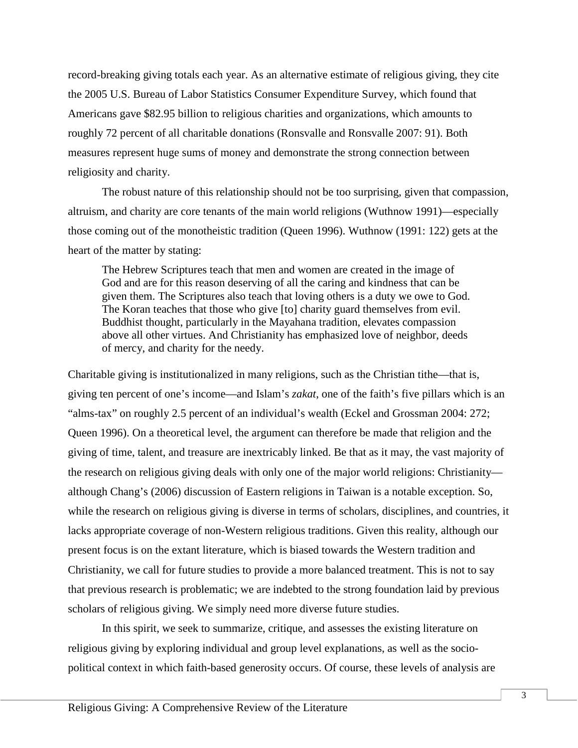record-breaking giving totals each year. As an alternative estimate of religious giving, they cite the 2005 U.S. Bureau of Labor Statistics Consumer Expenditure Survey, which found that Americans gave \$82.95 billion to religious charities and organizations, which amounts to roughly 72 percent of all charitable donations (Ronsvalle and Ronsvalle 2007: 91). Both measures represent huge sums of money and demonstrate the strong connection between religiosity and charity.

The robust nature of this relationship should not be too surprising, given that compassion, altruism, and charity are core tenants of the main world religions (Wuthnow 1991)—especially those coming out of the monotheistic tradition (Queen 1996). Wuthnow (1991: 122) gets at the heart of the matter by stating:

The Hebrew Scriptures teach that men and women are created in the image of God and are for this reason deserving of all the caring and kindness that can be given them. The Scriptures also teach that loving others is a duty we owe to God. The Koran teaches that those who give [to] charity guard themselves from evil. Buddhist thought, particularly in the Mayahana tradition, elevates compassion above all other virtues. And Christianity has emphasized love of neighbor, deeds of mercy, and charity for the needy.

Charitable giving is institutionalized in many religions, such as the Christian tithe—that is, giving ten percent of one's income—and Islam's *zakat*, one of the faith's five pillars which is an "alms-tax" on roughly 2.5 percent of an individual's wealth (Eckel and Grossman 2004: 272; Queen 1996). On a theoretical level, the argument can therefore be made that religion and the giving of time, talent, and treasure are inextricably linked. Be that as it may, the vast majority of the research on religious giving deals with only one of the major world religions: Christianity although Chang's (2006) discussion of Eastern religions in Taiwan is a notable exception. So, while the research on religious giving is diverse in terms of scholars, disciplines, and countries, it lacks appropriate coverage of non-Western religious traditions. Given this reality, although our present focus is on the extant literature, which is biased towards the Western tradition and Christianity, we call for future studies to provide a more balanced treatment. This is not to say that previous research is problematic; we are indebted to the strong foundation laid by previous scholars of religious giving. We simply need more diverse future studies.

In this spirit, we seek to summarize, critique, and assesses the existing literature on religious giving by exploring individual and group level explanations, as well as the sociopolitical context in which faith-based generosity occurs. Of course, these levels of analysis are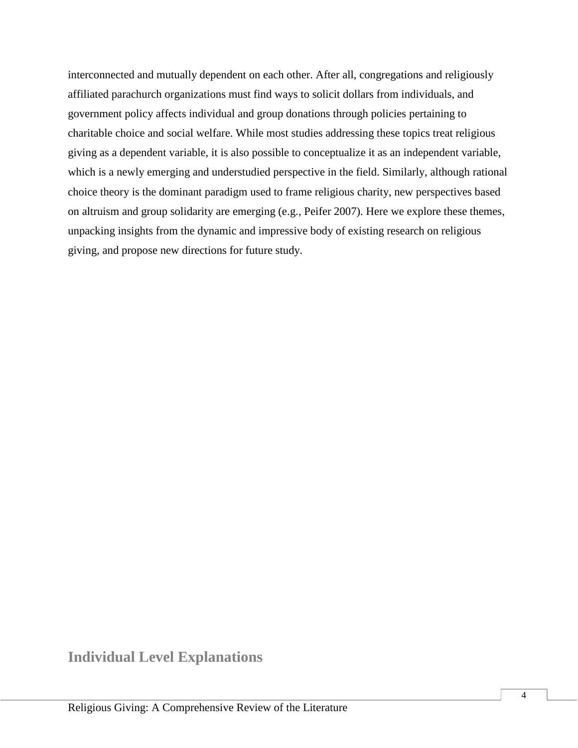interconnected and mutually dependent on each other. After all, congregations and religiously affiliated parachurch organizations must find ways to solicit dollars from individuals, and government policy affects individual and group donations through policies pertaining to charitable choice and social welfare. While most studies addressing these topics treat religious giving as a dependent variable, it is also possible to conceptualize it as an independent variable, which is a newly emerging and understudied perspective in the field. Similarly, although rational choice theory is the dominant paradigm used to frame religious charity, new perspectives based on altruism and group solidarity are emerging (e.g., Peifer 2007). Here we explore these themes, unpacking insights from the dynamic and impressive body of existing research on religious giving, and propose new directions for future study.

**Individual Level Explanations**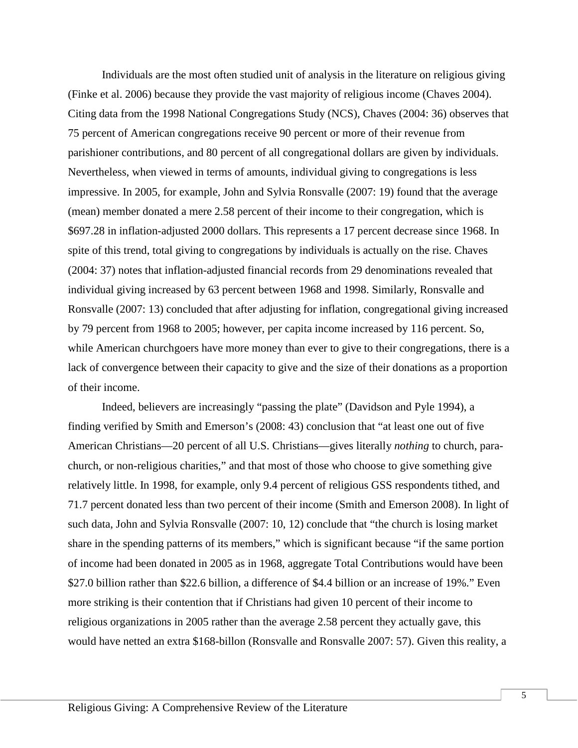Individuals are the most often studied unit of analysis in the literature on religious giving (Finke et al. 2006) because they provide the vast majority of religious income (Chaves 2004). Citing data from the 1998 National Congregations Study (NCS), Chaves (2004: 36) observes that 75 percent of American congregations receive 90 percent or more of their revenue from parishioner contributions, and 80 percent of all congregational dollars are given by individuals. Nevertheless, when viewed in terms of amounts, individual giving to congregations is less impressive. In 2005, for example, John and Sylvia Ronsvalle (2007: 19) found that the average (mean) member donated a mere 2.58 percent of their income to their congregation, which is \$697.28 in inflation-adjusted 2000 dollars. This represents a 17 percent decrease since 1968. In spite of this trend, total giving to congregations by individuals is actually on the rise. Chaves (2004: 37) notes that inflation-adjusted financial records from 29 denominations revealed that individual giving increased by 63 percent between 1968 and 1998. Similarly, Ronsvalle and Ronsvalle (2007: 13) concluded that after adjusting for inflation, congregational giving increased by 79 percent from 1968 to 2005; however, per capita income increased by 116 percent. So, while American churchgoers have more money than ever to give to their congregations, there is a lack of convergence between their capacity to give and the size of their donations as a proportion of their income.

Indeed, believers are increasingly "passing the plate" (Davidson and Pyle 1994), a finding verified by Smith and Emerson's (2008: 43) conclusion that "at least one out of five American Christians—20 percent of all U.S. Christians—gives literally *nothing* to church, parachurch, or non-religious charities," and that most of those who choose to give something give relatively little. In 1998, for example, only 9.4 percent of religious GSS respondents tithed, and 71.7 percent donated less than two percent of their income (Smith and Emerson 2008). In light of such data, John and Sylvia Ronsvalle (2007: 10, 12) conclude that "the church is losing market share in the spending patterns of its members," which is significant because "if the same portion of income had been donated in 2005 as in 1968, aggregate Total Contributions would have been \$27.0 billion rather than \$22.6 billion, a difference of \$4.4 billion or an increase of 19%." Even more striking is their contention that if Christians had given 10 percent of their income to religious organizations in 2005 rather than the average 2.58 percent they actually gave, this would have netted an extra \$168-billon (Ronsvalle and Ronsvalle 2007: 57). Given this reality, a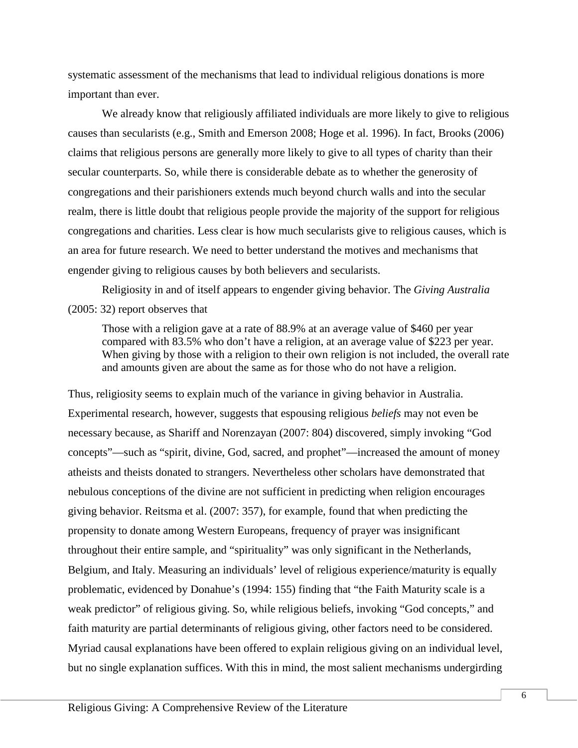systematic assessment of the mechanisms that lead to individual religious donations is more important than ever.

We already know that religiously affiliated individuals are more likely to give to religious causes than secularists (e.g., Smith and Emerson 2008; Hoge et al. 1996). In fact, Brooks (2006) claims that religious persons are generally more likely to give to all types of charity than their secular counterparts. So, while there is considerable debate as to whether the generosity of congregations and their parishioners extends much beyond church walls and into the secular realm, there is little doubt that religious people provide the majority of the support for religious congregations and charities. Less clear is how much secularists give to religious causes, which is an area for future research. We need to better understand the motives and mechanisms that engender giving to religious causes by both believers and secularists.

Religiosity in and of itself appears to engender giving behavior. The *Giving Australia* (2005: 32) report observes that

Those with a religion gave at a rate of 88.9% at an average value of \$460 per year compared with 83.5% who don't have a religion, at an average value of \$223 per year. When giving by those with a religion to their own religion is not included, the overall rate and amounts given are about the same as for those who do not have a religion.

Thus, religiosity seems to explain much of the variance in giving behavior in Australia. Experimental research, however, suggests that espousing religious *beliefs* may not even be necessary because, as Shariff and Norenzayan (2007: 804) discovered, simply invoking "God concepts"—such as "spirit, divine, God, sacred, and prophet"—increased the amount of money atheists and theists donated to strangers. Nevertheless other scholars have demonstrated that nebulous conceptions of the divine are not sufficient in predicting when religion encourages giving behavior. Reitsma et al. (2007: 357), for example, found that when predicting the propensity to donate among Western Europeans, frequency of prayer was insignificant throughout their entire sample, and "spirituality" was only significant in the Netherlands, Belgium, and Italy. Measuring an individuals' level of religious experience/maturity is equally problematic, evidenced by Donahue's (1994: 155) finding that "the Faith Maturity scale is a weak predictor" of religious giving. So, while religious beliefs, invoking "God concepts," and faith maturity are partial determinants of religious giving, other factors need to be considered. Myriad causal explanations have been offered to explain religious giving on an individual level, but no single explanation suffices. With this in mind, the most salient mechanisms undergirding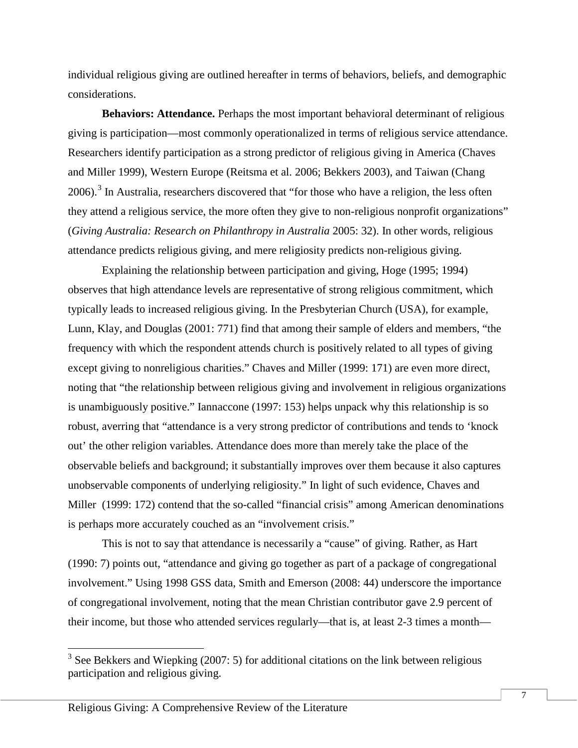individual religious giving are outlined hereafter in terms of behaviors, beliefs, and demographic considerations.

**Behaviors: Attendance.** Perhaps the most important behavioral determinant of religious giving is participation—most commonly operationalized in terms of religious service attendance. Researchers identify participation as a strong predictor of religious giving in America (Chaves and Miller 1999), Western Europe (Reitsma et al. 2006; Bekkers 2003), and Taiwan (Chang 2006).<sup>[3](#page-6-0)</sup> In Australia, researchers discovered that "for those who have a religion, the less often they attend a religious service, the more often they give to non-religious nonprofit organizations" (*Giving Australia: Research on Philanthropy in Australia* 2005: 32). In other words, religious attendance predicts religious giving, and mere religiosity predicts non-religious giving.

Explaining the relationship between participation and giving, Hoge (1995; 1994) observes that high attendance levels are representative of strong religious commitment, which typically leads to increased religious giving. In the Presbyterian Church (USA), for example, Lunn, Klay, and Douglas (2001: 771) find that among their sample of elders and members, "the frequency with which the respondent attends church is positively related to all types of giving except giving to nonreligious charities." Chaves and Miller (1999: 171) are even more direct, noting that "the relationship between religious giving and involvement in religious organizations is unambiguously positive." Iannaccone (1997: 153) helps unpack why this relationship is so robust, averring that "attendance is a very strong predictor of contributions and tends to 'knock out' the other religion variables. Attendance does more than merely take the place of the observable beliefs and background; it substantially improves over them because it also captures unobservable components of underlying religiosity." In light of such evidence, Chaves and Miller (1999: 172) contend that the so-called "financial crisis" among American denominations is perhaps more accurately couched as an "involvement crisis."

This is not to say that attendance is necessarily a "cause" of giving. Rather, as Hart (1990: 7) points out, "attendance and giving go together as part of a package of congregational involvement." Using 1998 GSS data, Smith and Emerson (2008: 44) underscore the importance of congregational involvement, noting that the mean Christian contributor gave 2.9 percent of their income, but those who attended services regularly—that is, at least 2-3 times a month—

<span id="page-6-0"></span> $3$  See Bekkers and Wiepking (2007: 5) for additional citations on the link between religious participation and religious giving.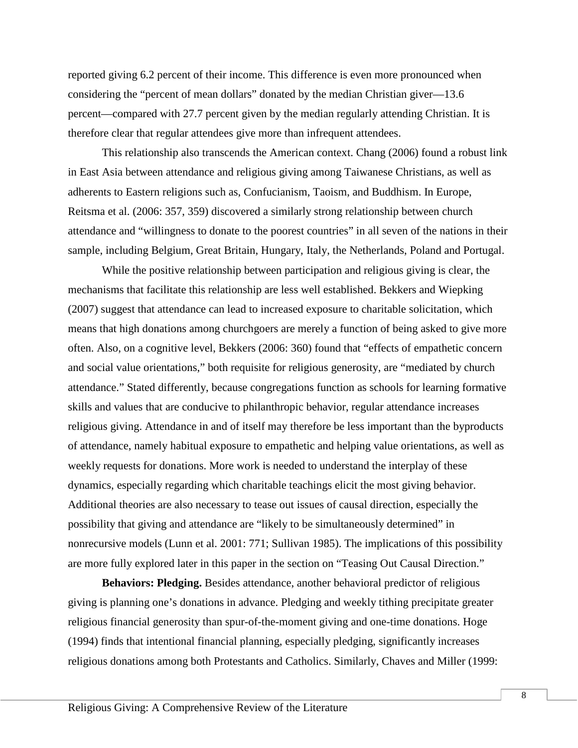reported giving 6.2 percent of their income. This difference is even more pronounced when considering the "percent of mean dollars" donated by the median Christian giver—13.6 percent—compared with 27.7 percent given by the median regularly attending Christian. It is therefore clear that regular attendees give more than infrequent attendees.

This relationship also transcends the American context. Chang (2006) found a robust link in East Asia between attendance and religious giving among Taiwanese Christians, as well as adherents to Eastern religions such as, Confucianism, Taoism, and Buddhism. In Europe, Reitsma et al. (2006: 357, 359) discovered a similarly strong relationship between church attendance and "willingness to donate to the poorest countries" in all seven of the nations in their sample, including Belgium, Great Britain, Hungary, Italy, the Netherlands, Poland and Portugal.

While the positive relationship between participation and religious giving is clear, the mechanisms that facilitate this relationship are less well established. Bekkers and Wiepking (2007) suggest that attendance can lead to increased exposure to charitable solicitation, which means that high donations among churchgoers are merely a function of being asked to give more often. Also, on a cognitive level, Bekkers (2006: 360) found that "effects of empathetic concern and social value orientations," both requisite for religious generosity, are "mediated by church attendance." Stated differently, because congregations function as schools for learning formative skills and values that are conducive to philanthropic behavior, regular attendance increases religious giving. Attendance in and of itself may therefore be less important than the byproducts of attendance, namely habitual exposure to empathetic and helping value orientations, as well as weekly requests for donations. More work is needed to understand the interplay of these dynamics, especially regarding which charitable teachings elicit the most giving behavior. Additional theories are also necessary to tease out issues of causal direction, especially the possibility that giving and attendance are "likely to be simultaneously determined" in nonrecursive models (Lunn et al. 2001: 771; Sullivan 1985). The implications of this possibility are more fully explored later in this paper in the section on "Teasing Out Causal Direction."

**Behaviors: Pledging.** Besides attendance, another behavioral predictor of religious giving is planning one's donations in advance. Pledging and weekly tithing precipitate greater religious financial generosity than spur-of-the-moment giving and one-time donations. Hoge (1994) finds that intentional financial planning, especially pledging, significantly increases religious donations among both Protestants and Catholics. Similarly, Chaves and Miller (1999: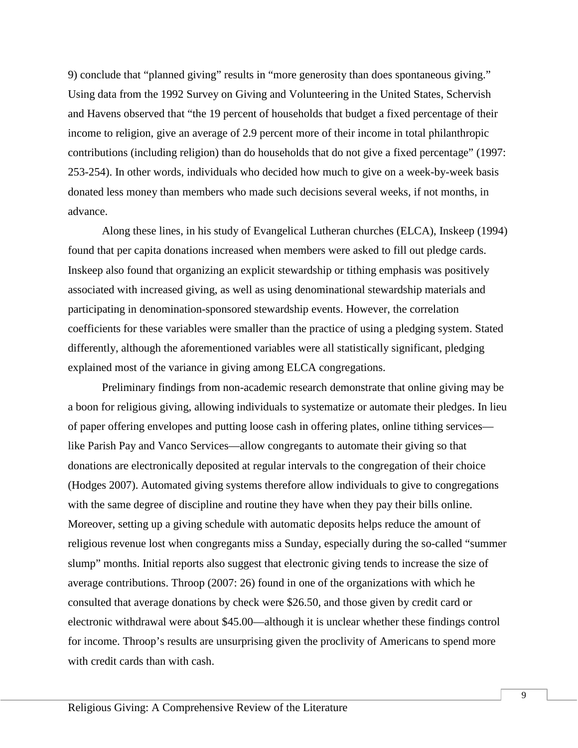9) conclude that "planned giving" results in "more generosity than does spontaneous giving." Using data from the 1992 Survey on Giving and Volunteering in the United States, Schervish and Havens observed that "the 19 percent of households that budget a fixed percentage of their income to religion, give an average of 2.9 percent more of their income in total philanthropic contributions (including religion) than do households that do not give a fixed percentage" (1997: 253-254). In other words, individuals who decided how much to give on a week-by-week basis donated less money than members who made such decisions several weeks, if not months, in advance.

Along these lines, in his study of Evangelical Lutheran churches (ELCA), Inskeep (1994) found that per capita donations increased when members were asked to fill out pledge cards. Inskeep also found that organizing an explicit stewardship or tithing emphasis was positively associated with increased giving, as well as using denominational stewardship materials and participating in denomination-sponsored stewardship events. However, the correlation coefficients for these variables were smaller than the practice of using a pledging system. Stated differently, although the aforementioned variables were all statistically significant, pledging explained most of the variance in giving among ELCA congregations.

Preliminary findings from non-academic research demonstrate that online giving may be a boon for religious giving, allowing individuals to systematize or automate their pledges. In lieu of paper offering envelopes and putting loose cash in offering plates, online tithing services like Parish Pay and Vanco Services—allow congregants to automate their giving so that donations are electronically deposited at regular intervals to the congregation of their choice (Hodges 2007). Automated giving systems therefore allow individuals to give to congregations with the same degree of discipline and routine they have when they pay their bills online. Moreover, setting up a giving schedule with automatic deposits helps reduce the amount of religious revenue lost when congregants miss a Sunday, especially during the so-called "summer slump" months. Initial reports also suggest that electronic giving tends to increase the size of average contributions. Throop (2007: 26) found in one of the organizations with which he consulted that average donations by check were \$26.50, and those given by credit card or electronic withdrawal were about \$45.00—although it is unclear whether these findings control for income. Throop's results are unsurprising given the proclivity of Americans to spend more with credit cards than with cash.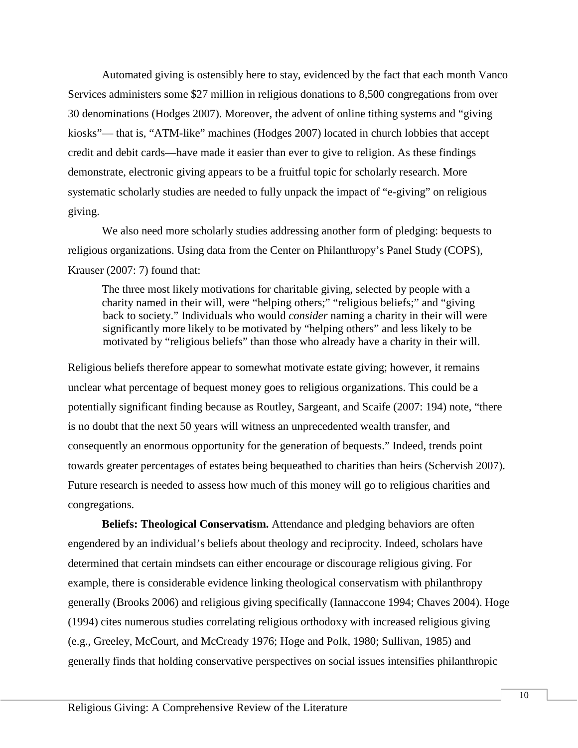Automated giving is ostensibly here to stay, evidenced by the fact that each month Vanco Services administers some \$27 million in religious donations to 8,500 congregations from over 30 denominations (Hodges 2007). Moreover, the advent of online tithing systems and "giving kiosks"— that is, "ATM-like" machines (Hodges 2007) located in church lobbies that accept credit and debit cards—have made it easier than ever to give to religion. As these findings demonstrate, electronic giving appears to be a fruitful topic for scholarly research. More systematic scholarly studies are needed to fully unpack the impact of "e-giving" on religious giving.

We also need more scholarly studies addressing another form of pledging: bequests to religious organizations. Using data from the Center on Philanthropy's Panel Study (COPS), Krauser (2007: 7) found that:

The three most likely motivations for charitable giving, selected by people with a charity named in their will, were "helping others;" "religious beliefs;" and "giving back to society." Individuals who would *consider* naming a charity in their will were significantly more likely to be motivated by "helping others" and less likely to be motivated by "religious beliefs" than those who already have a charity in their will.

Religious beliefs therefore appear to somewhat motivate estate giving; however, it remains unclear what percentage of bequest money goes to religious organizations. This could be a potentially significant finding because as Routley, Sargeant, and Scaife (2007: 194) note, "there is no doubt that the next 50 years will witness an unprecedented wealth transfer, and consequently an enormous opportunity for the generation of bequests." Indeed, trends point towards greater percentages of estates being bequeathed to charities than heirs (Schervish 2007). Future research is needed to assess how much of this money will go to religious charities and congregations.

**Beliefs: Theological Conservatism.** Attendance and pledging behaviors are often engendered by an individual's beliefs about theology and reciprocity. Indeed, scholars have determined that certain mindsets can either encourage or discourage religious giving. For example, there is considerable evidence linking theological conservatism with philanthropy generally (Brooks 2006) and religious giving specifically (Iannaccone 1994; Chaves 2004). Hoge (1994) cites numerous studies correlating religious orthodoxy with increased religious giving (e.g., Greeley, McCourt, and McCready 1976; Hoge and Polk, 1980; Sullivan, 1985) and generally finds that holding conservative perspectives on social issues intensifies philanthropic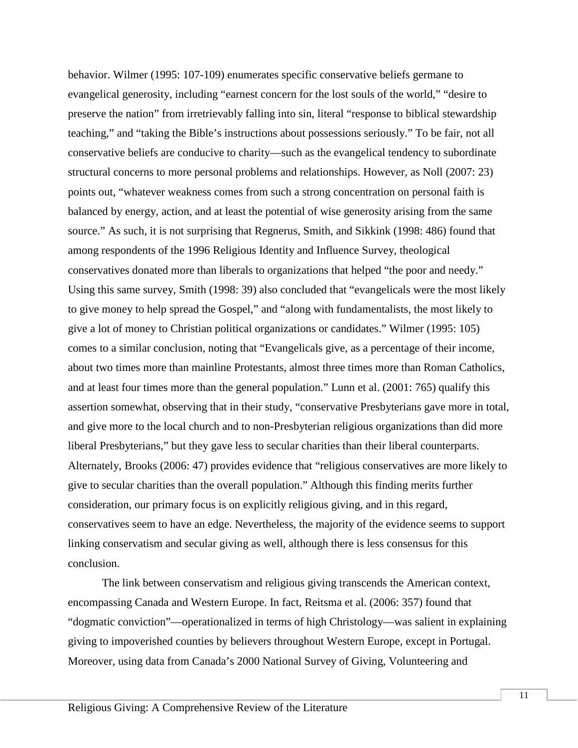behavior. Wilmer (1995: 107-109) enumerates specific conservative beliefs germane to evangelical generosity, including "earnest concern for the lost souls of the world," "desire to preserve the nation" from irretrievably falling into sin, literal "response to biblical stewardship teaching," and "taking the Bible's instructions about possessions seriously." To be fair, not all conservative beliefs are conducive to charity—such as the evangelical tendency to subordinate structural concerns to more personal problems and relationships. However, as Noll (2007: 23) points out, "whatever weakness comes from such a strong concentration on personal faith is balanced by energy, action, and at least the potential of wise generosity arising from the same source." As such, it is not surprising that Regnerus, Smith, and Sikkink (1998: 486) found that among respondents of the 1996 Religious Identity and Influence Survey, theological conservatives donated more than liberals to organizations that helped "the poor and needy." Using this same survey, Smith (1998: 39) also concluded that "evangelicals were the most likely to give money to help spread the Gospel," and "along with fundamentalists, the most likely to give a lot of money to Christian political organizations or candidates." Wilmer (1995: 105) comes to a similar conclusion, noting that "Evangelicals give, as a percentage of their income, about two times more than mainline Protestants, almost three times more than Roman Catholics, and at least four times more than the general population." Lunn et al. (2001: 765) qualify this assertion somewhat, observing that in their study, "conservative Presbyterians gave more in total, and give more to the local church and to non-Presbyterian religious organizations than did more liberal Presbyterians," but they gave less to secular charities than their liberal counterparts. Alternately, Brooks (2006: 47) provides evidence that "religious conservatives are more likely to give to secular charities than the overall population." Although this finding merits further consideration, our primary focus is on explicitly religious giving, and in this regard, conservatives seem to have an edge. Nevertheless, the majority of the evidence seems to support linking conservatism and secular giving as well, although there is less consensus for this conclusion.

The link between conservatism and religious giving transcends the American context, encompassing Canada and Western Europe. In fact, Reitsma et al. (2006: 357) found that "dogmatic conviction"—operationalized in terms of high Christology—was salient in explaining giving to impoverished counties by believers throughout Western Europe, except in Portugal. Moreover, using data from Canada's 2000 National Survey of Giving, Volunteering and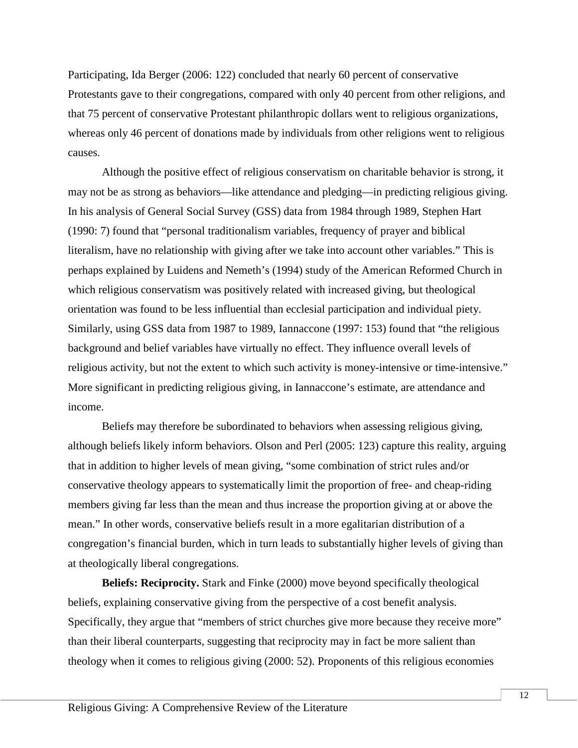Participating, Ida Berger (2006: 122) concluded that nearly 60 percent of conservative Protestants gave to their congregations, compared with only 40 percent from other religions, and that 75 percent of conservative Protestant philanthropic dollars went to religious organizations, whereas only 46 percent of donations made by individuals from other religions went to religious causes.

Although the positive effect of religious conservatism on charitable behavior is strong, it may not be as strong as behaviors—like attendance and pledging—in predicting religious giving. In his analysis of General Social Survey (GSS) data from 1984 through 1989, Stephen Hart (1990: 7) found that "personal traditionalism variables, frequency of prayer and biblical literalism, have no relationship with giving after we take into account other variables." This is perhaps explained by Luidens and Nemeth's (1994) study of the American Reformed Church in which religious conservatism was positively related with increased giving, but theological orientation was found to be less influential than ecclesial participation and individual piety. Similarly, using GSS data from 1987 to 1989, Iannaccone (1997: 153) found that "the religious background and belief variables have virtually no effect. They influence overall levels of religious activity, but not the extent to which such activity is money-intensive or time-intensive." More significant in predicting religious giving, in Iannaccone's estimate, are attendance and income.

Beliefs may therefore be subordinated to behaviors when assessing religious giving, although beliefs likely inform behaviors. Olson and Perl (2005: 123) capture this reality, arguing that in addition to higher levels of mean giving, "some combination of strict rules and/or conservative theology appears to systematically limit the proportion of free- and cheap-riding members giving far less than the mean and thus increase the proportion giving at or above the mean." In other words, conservative beliefs result in a more egalitarian distribution of a congregation's financial burden, which in turn leads to substantially higher levels of giving than at theologically liberal congregations.

**Beliefs: Reciprocity.** Stark and Finke (2000) move beyond specifically theological beliefs, explaining conservative giving from the perspective of a cost benefit analysis. Specifically, they argue that "members of strict churches give more because they receive more" than their liberal counterparts, suggesting that reciprocity may in fact be more salient than theology when it comes to religious giving (2000: 52). Proponents of this religious economies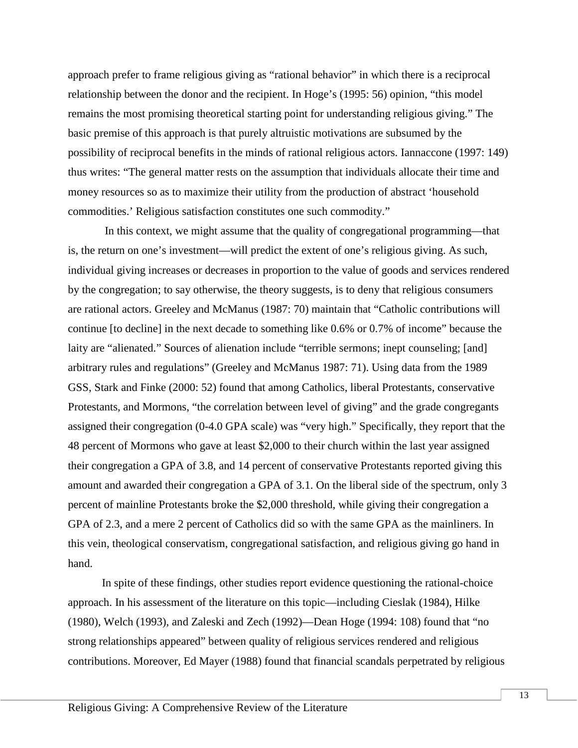approach prefer to frame religious giving as "rational behavior" in which there is a reciprocal relationship between the donor and the recipient. In Hoge's (1995: 56) opinion, "this model remains the most promising theoretical starting point for understanding religious giving." The basic premise of this approach is that purely altruistic motivations are subsumed by the possibility of reciprocal benefits in the minds of rational religious actors. Iannaccone (1997: 149) thus writes: "The general matter rests on the assumption that individuals allocate their time and money resources so as to maximize their utility from the production of abstract 'household commodities.' Religious satisfaction constitutes one such commodity."

In this context, we might assume that the quality of congregational programming—that is, the return on one's investment—will predict the extent of one's religious giving. As such, individual giving increases or decreases in proportion to the value of goods and services rendered by the congregation; to say otherwise, the theory suggests, is to deny that religious consumers are rational actors. Greeley and McManus (1987: 70) maintain that "Catholic contributions will continue [to decline] in the next decade to something like 0.6% or 0.7% of income" because the laity are "alienated." Sources of alienation include "terrible sermons; inept counseling; [and] arbitrary rules and regulations" (Greeley and McManus 1987: 71). Using data from the 1989 GSS, Stark and Finke (2000: 52) found that among Catholics, liberal Protestants, conservative Protestants, and Mormons, "the correlation between level of giving" and the grade congregants assigned their congregation (0-4.0 GPA scale) was "very high." Specifically, they report that the 48 percent of Mormons who gave at least \$2,000 to their church within the last year assigned their congregation a GPA of 3.8, and 14 percent of conservative Protestants reported giving this amount and awarded their congregation a GPA of 3.1. On the liberal side of the spectrum, only 3 percent of mainline Protestants broke the \$2,000 threshold, while giving their congregation a GPA of 2.3, and a mere 2 percent of Catholics did so with the same GPA as the mainliners. In this vein, theological conservatism, congregational satisfaction, and religious giving go hand in hand.

In spite of these findings, other studies report evidence questioning the rational-choice approach. In his assessment of the literature on this topic—including Cieslak (1984), Hilke (1980), Welch (1993), and Zaleski and Zech (1992)—Dean Hoge (1994: 108) found that "no strong relationships appeared" between quality of religious services rendered and religious contributions. Moreover, Ed Mayer (1988) found that financial scandals perpetrated by religious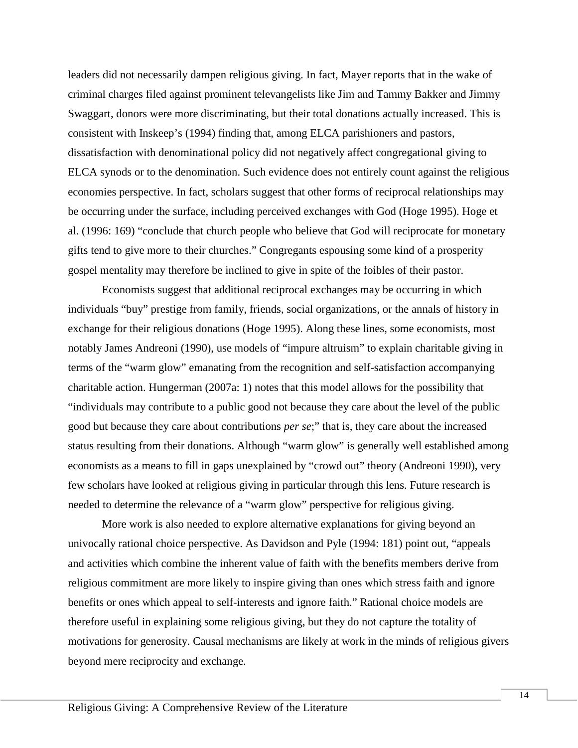leaders did not necessarily dampen religious giving. In fact, Mayer reports that in the wake of criminal charges filed against prominent televangelists like Jim and Tammy Bakker and Jimmy Swaggart, donors were more discriminating, but their total donations actually increased. This is consistent with Inskeep's (1994) finding that, among ELCA parishioners and pastors, dissatisfaction with denominational policy did not negatively affect congregational giving to ELCA synods or to the denomination. Such evidence does not entirely count against the religious economies perspective. In fact, scholars suggest that other forms of reciprocal relationships may be occurring under the surface, including perceived exchanges with God (Hoge 1995). Hoge et al. (1996: 169) "conclude that church people who believe that God will reciprocate for monetary gifts tend to give more to their churches." Congregants espousing some kind of a prosperity gospel mentality may therefore be inclined to give in spite of the foibles of their pastor.

Economists suggest that additional reciprocal exchanges may be occurring in which individuals "buy" prestige from family, friends, social organizations, or the annals of history in exchange for their religious donations (Hoge 1995). Along these lines, some economists, most notably James Andreoni (1990), use models of "impure altruism" to explain charitable giving in terms of the "warm glow" emanating from the recognition and self-satisfaction accompanying charitable action. Hungerman (2007a: 1) notes that this model allows for the possibility that "individuals may contribute to a public good not because they care about the level of the public good but because they care about contributions *per se*;" that is, they care about the increased status resulting from their donations. Although "warm glow" is generally well established among economists as a means to fill in gaps unexplained by "crowd out" theory (Andreoni 1990), very few scholars have looked at religious giving in particular through this lens. Future research is needed to determine the relevance of a "warm glow" perspective for religious giving.

More work is also needed to explore alternative explanations for giving beyond an univocally rational choice perspective. As Davidson and Pyle (1994: 181) point out, "appeals and activities which combine the inherent value of faith with the benefits members derive from religious commitment are more likely to inspire giving than ones which stress faith and ignore benefits or ones which appeal to self-interests and ignore faith." Rational choice models are therefore useful in explaining some religious giving, but they do not capture the totality of motivations for generosity. Causal mechanisms are likely at work in the minds of religious givers beyond mere reciprocity and exchange.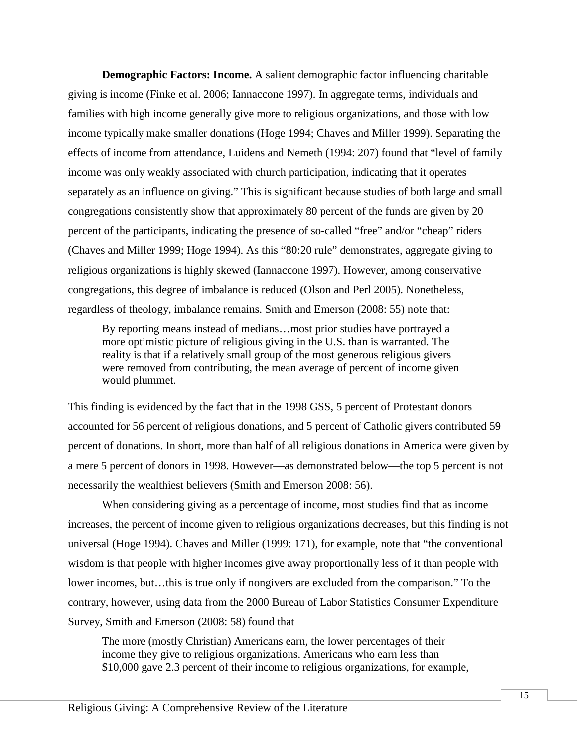**Demographic Factors: Income.** A salient demographic factor influencing charitable giving is income (Finke et al. 2006; Iannaccone 1997). In aggregate terms, individuals and families with high income generally give more to religious organizations, and those with low income typically make smaller donations (Hoge 1994; Chaves and Miller 1999). Separating the effects of income from attendance, Luidens and Nemeth (1994: 207) found that "level of family income was only weakly associated with church participation, indicating that it operates separately as an influence on giving." This is significant because studies of both large and small congregations consistently show that approximately 80 percent of the funds are given by 20 percent of the participants, indicating the presence of so-called "free" and/or "cheap" riders (Chaves and Miller 1999; Hoge 1994). As this "80:20 rule" demonstrates, aggregate giving to religious organizations is highly skewed (Iannaccone 1997). However, among conservative congregations, this degree of imbalance is reduced (Olson and Perl 2005). Nonetheless, regardless of theology, imbalance remains. Smith and Emerson (2008: 55) note that:

By reporting means instead of medians…most prior studies have portrayed a more optimistic picture of religious giving in the U.S. than is warranted. The reality is that if a relatively small group of the most generous religious givers were removed from contributing, the mean average of percent of income given would plummet.

This finding is evidenced by the fact that in the 1998 GSS, 5 percent of Protestant donors accounted for 56 percent of religious donations, and 5 percent of Catholic givers contributed 59 percent of donations. In short, more than half of all religious donations in America were given by a mere 5 percent of donors in 1998. However—as demonstrated below—the top 5 percent is not necessarily the wealthiest believers (Smith and Emerson 2008: 56).

When considering giving as a percentage of income, most studies find that as income increases, the percent of income given to religious organizations decreases, but this finding is not universal (Hoge 1994). Chaves and Miller (1999: 171), for example, note that "the conventional wisdom is that people with higher incomes give away proportionally less of it than people with lower incomes, but…this is true only if nongivers are excluded from the comparison." To the contrary, however, using data from the 2000 Bureau of Labor Statistics Consumer Expenditure Survey, Smith and Emerson (2008: 58) found that

The more (mostly Christian) Americans earn, the lower percentages of their income they give to religious organizations. Americans who earn less than \$10,000 gave 2.3 percent of their income to religious organizations, for example,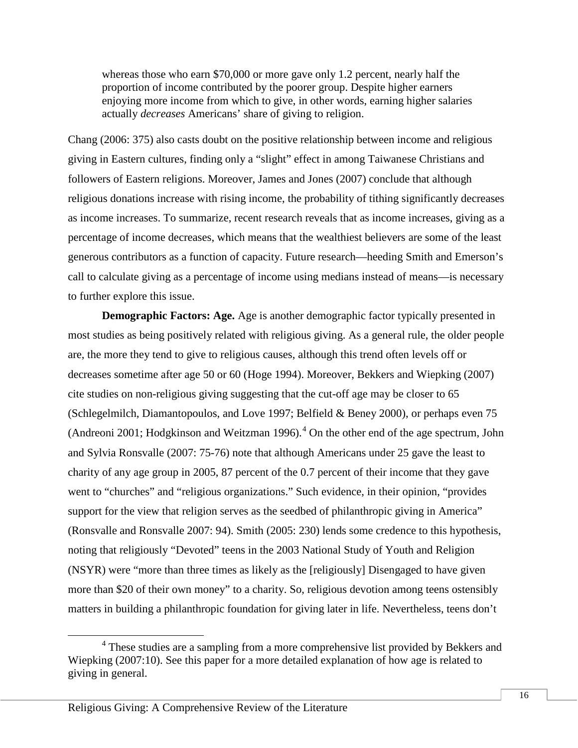whereas those who earn \$70,000 or more gave only 1.2 percent, nearly half the proportion of income contributed by the poorer group. Despite higher earners enjoying more income from which to give, in other words, earning higher salaries actually *decreases* Americans' share of giving to religion.

Chang (2006: 375) also casts doubt on the positive relationship between income and religious giving in Eastern cultures, finding only a "slight" effect in among Taiwanese Christians and followers of Eastern religions. Moreover, James and Jones (2007) conclude that although religious donations increase with rising income, the probability of tithing significantly decreases as income increases. To summarize, recent research reveals that as income increases, giving as a percentage of income decreases, which means that the wealthiest believers are some of the least generous contributors as a function of capacity. Future research—heeding Smith and Emerson's call to calculate giving as a percentage of income using medians instead of means—is necessary to further explore this issue.

**Demographic Factors: Age.** Age is another demographic factor typically presented in most studies as being positively related with religious giving. As a general rule, the older people are, the more they tend to give to religious causes, although this trend often levels off or decreases sometime after age 50 or 60 (Hoge 1994). Moreover, Bekkers and Wiepking (2007) cite studies on non-religious giving suggesting that the cut-off age may be closer to 65 (Schlegelmilch, Diamantopoulos, and Love 1997; Belfield & Beney 2000), or perhaps even 75 (Andreoni 2001; Hodgkinson and Weitzman 1996). $<sup>4</sup>$  $<sup>4</sup>$  $<sup>4</sup>$  On the other end of the age spectrum, John</sup> and Sylvia Ronsvalle (2007: 75-76) note that although Americans under 25 gave the least to charity of any age group in 2005, 87 percent of the 0.7 percent of their income that they gave went to "churches" and "religious organizations." Such evidence, in their opinion, "provides support for the view that religion serves as the seedbed of philanthropic giving in America" (Ronsvalle and Ronsvalle 2007: 94). Smith (2005: 230) lends some credence to this hypothesis, noting that religiously "Devoted" teens in the 2003 National Study of Youth and Religion (NSYR) were "more than three times as likely as the [religiously] Disengaged to have given more than \$20 of their own money" to a charity. So, religious devotion among teens ostensibly matters in building a philanthropic foundation for giving later in life. Nevertheless, teens don't

<span id="page-15-0"></span><sup>&</sup>lt;sup>4</sup> These studies are a sampling from a more comprehensive list provided by Bekkers and Wiepking (2007:10). See this paper for a more detailed explanation of how age is related to giving in general.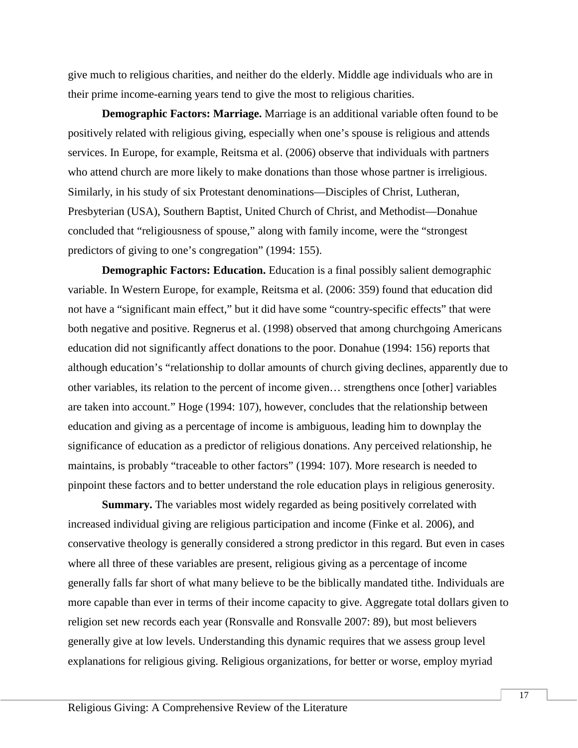give much to religious charities, and neither do the elderly. Middle age individuals who are in their prime income-earning years tend to give the most to religious charities.

**Demographic Factors: Marriage.** Marriage is an additional variable often found to be positively related with religious giving, especially when one's spouse is religious and attends services. In Europe, for example, Reitsma et al. (2006) observe that individuals with partners who attend church are more likely to make donations than those whose partner is irreligious. Similarly, in his study of six Protestant denominations—Disciples of Christ, Lutheran, Presbyterian (USA), Southern Baptist, United Church of Christ, and Methodist—Donahue concluded that "religiousness of spouse," along with family income, were the "strongest predictors of giving to one's congregation" (1994: 155).

**Demographic Factors: Education.** Education is a final possibly salient demographic variable. In Western Europe, for example, Reitsma et al. (2006: 359) found that education did not have a "significant main effect," but it did have some "country-specific effects" that were both negative and positive. Regnerus et al. (1998) observed that among churchgoing Americans education did not significantly affect donations to the poor. Donahue (1994: 156) reports that although education's "relationship to dollar amounts of church giving declines, apparently due to other variables, its relation to the percent of income given… strengthens once [other] variables are taken into account." Hoge (1994: 107), however, concludes that the relationship between education and giving as a percentage of income is ambiguous, leading him to downplay the significance of education as a predictor of religious donations. Any perceived relationship, he maintains, is probably "traceable to other factors" (1994: 107). More research is needed to pinpoint these factors and to better understand the role education plays in religious generosity.

**Summary.** The variables most widely regarded as being positively correlated with increased individual giving are religious participation and income (Finke et al. 2006), and conservative theology is generally considered a strong predictor in this regard. But even in cases where all three of these variables are present, religious giving as a percentage of income generally falls far short of what many believe to be the biblically mandated tithe. Individuals are more capable than ever in terms of their income capacity to give. Aggregate total dollars given to religion set new records each year (Ronsvalle and Ronsvalle 2007: 89), but most believers generally give at low levels. Understanding this dynamic requires that we assess group level explanations for religious giving. Religious organizations, for better or worse, employ myriad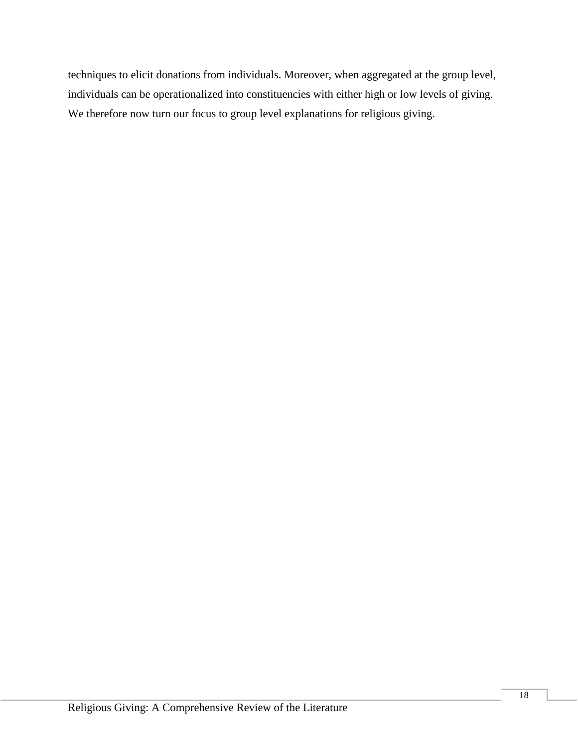techniques to elicit donations from individuals. Moreover, when aggregated at the group level, individuals can be operationalized into constituencies with either high or low levels of giving. We therefore now turn our focus to group level explanations for religious giving.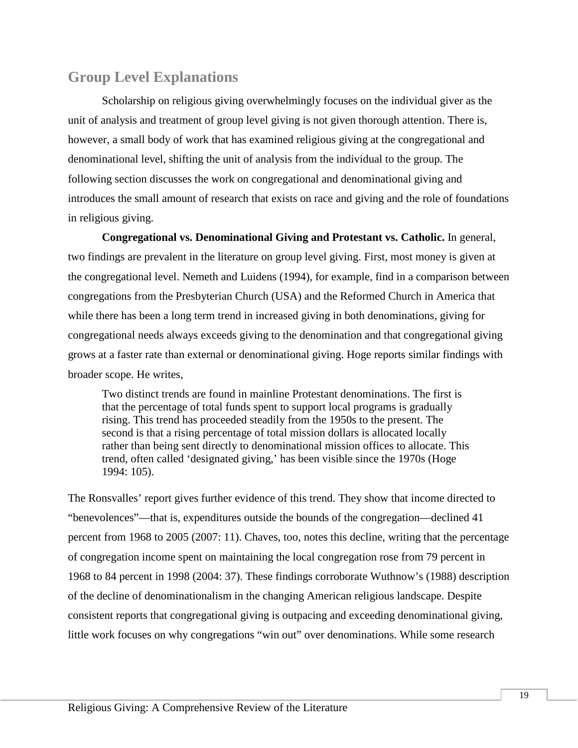# **Group Level Explanations**

Scholarship on religious giving overwhelmingly focuses on the individual giver as the unit of analysis and treatment of group level giving is not given thorough attention. There is, however, a small body of work that has examined religious giving at the congregational and denominational level, shifting the unit of analysis from the individual to the group. The following section discusses the work on congregational and denominational giving and introduces the small amount of research that exists on race and giving and the role of foundations in religious giving.

**Congregational vs. Denominational Giving and Protestant vs. Catholic.** In general, two findings are prevalent in the literature on group level giving. First, most money is given at the congregational level. Nemeth and Luidens (1994), for example, find in a comparison between congregations from the Presbyterian Church (USA) and the Reformed Church in America that while there has been a long term trend in increased giving in both denominations, giving for congregational needs always exceeds giving to the denomination and that congregational giving grows at a faster rate than external or denominational giving. Hoge reports similar findings with broader scope. He writes,

Two distinct trends are found in mainline Protestant denominations. The first is that the percentage of total funds spent to support local programs is gradually rising. This trend has proceeded steadily from the 1950s to the present. The second is that a rising percentage of total mission dollars is allocated locally rather than being sent directly to denominational mission offices to allocate. This trend, often called 'designated giving,' has been visible since the 1970s (Hoge 1994: 105).

The Ronsvalles' report gives further evidence of this trend. They show that income directed to "benevolences"—that is, expenditures outside the bounds of the congregation—declined 41 percent from 1968 to 2005 (2007: 11). Chaves, too, notes this decline, writing that the percentage of congregation income spent on maintaining the local congregation rose from 79 percent in 1968 to 84 percent in 1998 (2004: 37). These findings corroborate Wuthnow's (1988) description of the decline of denominationalism in the changing American religious landscape. Despite consistent reports that congregational giving is outpacing and exceeding denominational giving, little work focuses on why congregations "win out" over denominations. While some research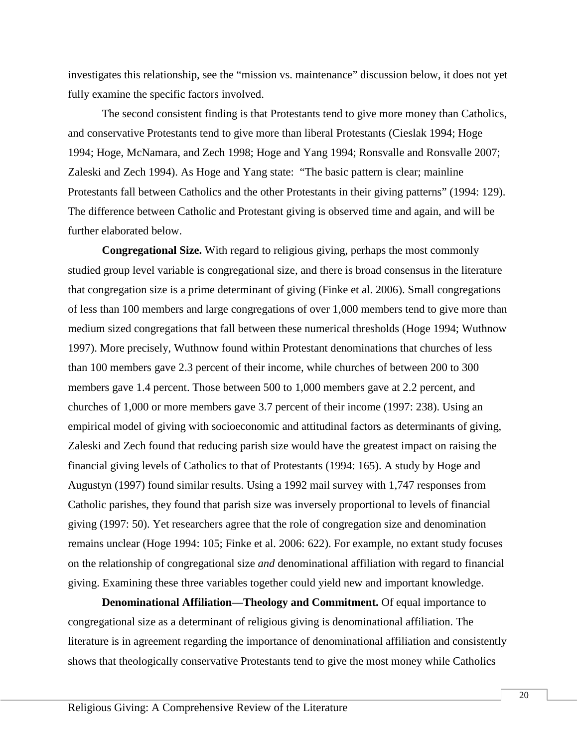investigates this relationship, see the "mission vs. maintenance" discussion below, it does not yet fully examine the specific factors involved.

The second consistent finding is that Protestants tend to give more money than Catholics, and conservative Protestants tend to give more than liberal Protestants (Cieslak 1994; Hoge 1994; Hoge, McNamara, and Zech 1998; Hoge and Yang 1994; Ronsvalle and Ronsvalle 2007; Zaleski and Zech 1994). As Hoge and Yang state: "The basic pattern is clear; mainline Protestants fall between Catholics and the other Protestants in their giving patterns" (1994: 129). The difference between Catholic and Protestant giving is observed time and again, and will be further elaborated below.

**Congregational Size.** With regard to religious giving, perhaps the most commonly studied group level variable is congregational size, and there is broad consensus in the literature that congregation size is a prime determinant of giving (Finke et al. 2006). Small congregations of less than 100 members and large congregations of over 1,000 members tend to give more than medium sized congregations that fall between these numerical thresholds (Hoge 1994; Wuthnow 1997). More precisely, Wuthnow found within Protestant denominations that churches of less than 100 members gave 2.3 percent of their income, while churches of between 200 to 300 members gave 1.4 percent. Those between 500 to 1,000 members gave at 2.2 percent, and churches of 1,000 or more members gave 3.7 percent of their income (1997: 238). Using an empirical model of giving with socioeconomic and attitudinal factors as determinants of giving, Zaleski and Zech found that reducing parish size would have the greatest impact on raising the financial giving levels of Catholics to that of Protestants (1994: 165). A study by Hoge and Augustyn (1997) found similar results. Using a 1992 mail survey with 1,747 responses from Catholic parishes, they found that parish size was inversely proportional to levels of financial giving (1997: 50). Yet researchers agree that the role of congregation size and denomination remains unclear (Hoge 1994: 105; Finke et al. 2006: 622). For example, no extant study focuses on the relationship of congregational size *and* denominational affiliation with regard to financial giving. Examining these three variables together could yield new and important knowledge.

**Denominational Affiliation—Theology and Commitment.** Of equal importance to congregational size as a determinant of religious giving is denominational affiliation. The literature is in agreement regarding the importance of denominational affiliation and consistently shows that theologically conservative Protestants tend to give the most money while Catholics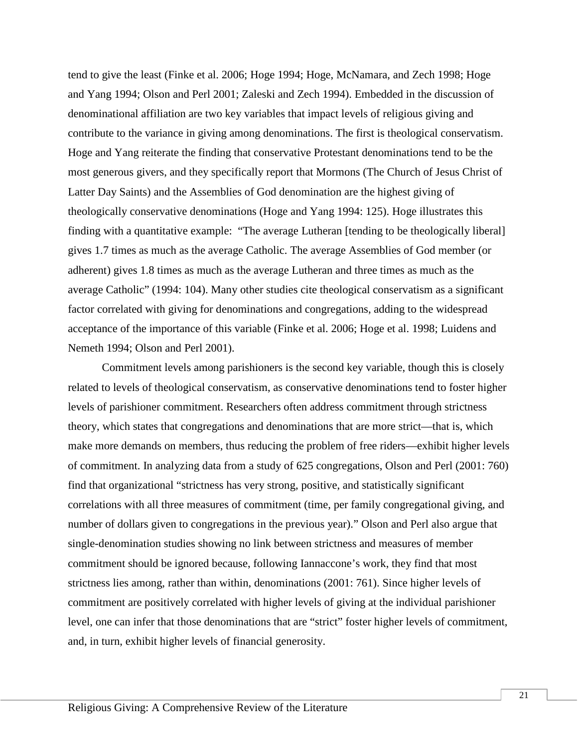tend to give the least (Finke et al. 2006; Hoge 1994; Hoge, McNamara, and Zech 1998; Hoge and Yang 1994; Olson and Perl 2001; Zaleski and Zech 1994). Embedded in the discussion of denominational affiliation are two key variables that impact levels of religious giving and contribute to the variance in giving among denominations. The first is theological conservatism. Hoge and Yang reiterate the finding that conservative Protestant denominations tend to be the most generous givers, and they specifically report that Mormons (The Church of Jesus Christ of Latter Day Saints) and the Assemblies of God denomination are the highest giving of theologically conservative denominations (Hoge and Yang 1994: 125). Hoge illustrates this finding with a quantitative example: "The average Lutheran [tending to be theologically liberal] gives 1.7 times as much as the average Catholic. The average Assemblies of God member (or adherent) gives 1.8 times as much as the average Lutheran and three times as much as the average Catholic" (1994: 104). Many other studies cite theological conservatism as a significant factor correlated with giving for denominations and congregations, adding to the widespread acceptance of the importance of this variable (Finke et al. 2006; Hoge et al. 1998; Luidens and Nemeth 1994; Olson and Perl 2001).

Commitment levels among parishioners is the second key variable, though this is closely related to levels of theological conservatism, as conservative denominations tend to foster higher levels of parishioner commitment. Researchers often address commitment through strictness theory, which states that congregations and denominations that are more strict—that is, which make more demands on members, thus reducing the problem of free riders—exhibit higher levels of commitment. In analyzing data from a study of 625 congregations, Olson and Perl (2001: 760) find that organizational "strictness has very strong, positive, and statistically significant correlations with all three measures of commitment (time, per family congregational giving, and number of dollars given to congregations in the previous year)." Olson and Perl also argue that single-denomination studies showing no link between strictness and measures of member commitment should be ignored because, following Iannaccone's work, they find that most strictness lies among, rather than within, denominations (2001: 761). Since higher levels of commitment are positively correlated with higher levels of giving at the individual parishioner level, one can infer that those denominations that are "strict" foster higher levels of commitment, and, in turn, exhibit higher levels of financial generosity.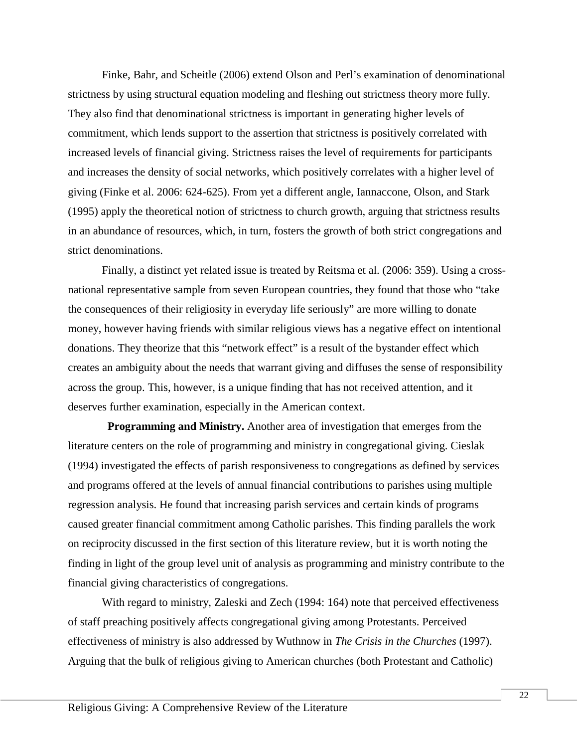Finke, Bahr, and Scheitle (2006) extend Olson and Perl's examination of denominational strictness by using structural equation modeling and fleshing out strictness theory more fully. They also find that denominational strictness is important in generating higher levels of commitment, which lends support to the assertion that strictness is positively correlated with increased levels of financial giving. Strictness raises the level of requirements for participants and increases the density of social networks, which positively correlates with a higher level of giving (Finke et al. 2006: 624-625). From yet a different angle, Iannaccone, Olson, and Stark (1995) apply the theoretical notion of strictness to church growth, arguing that strictness results in an abundance of resources, which, in turn, fosters the growth of both strict congregations and strict denominations.

Finally, a distinct yet related issue is treated by Reitsma et al. (2006: 359). Using a crossnational representative sample from seven European countries, they found that those who "take the consequences of their religiosity in everyday life seriously" are more willing to donate money, however having friends with similar religious views has a negative effect on intentional donations. They theorize that this "network effect" is a result of the bystander effect which creates an ambiguity about the needs that warrant giving and diffuses the sense of responsibility across the group. This, however, is a unique finding that has not received attention, and it deserves further examination, especially in the American context.

 **Programming and Ministry.** Another area of investigation that emerges from the literature centers on the role of programming and ministry in congregational giving. Cieslak (1994) investigated the effects of parish responsiveness to congregations as defined by services and programs offered at the levels of annual financial contributions to parishes using multiple regression analysis. He found that increasing parish services and certain kinds of programs caused greater financial commitment among Catholic parishes. This finding parallels the work on reciprocity discussed in the first section of this literature review, but it is worth noting the finding in light of the group level unit of analysis as programming and ministry contribute to the financial giving characteristics of congregations.

With regard to ministry, Zaleski and Zech (1994: 164) note that perceived effectiveness of staff preaching positively affects congregational giving among Protestants. Perceived effectiveness of ministry is also addressed by Wuthnow in *The Crisis in the Churches* (1997). Arguing that the bulk of religious giving to American churches (both Protestant and Catholic)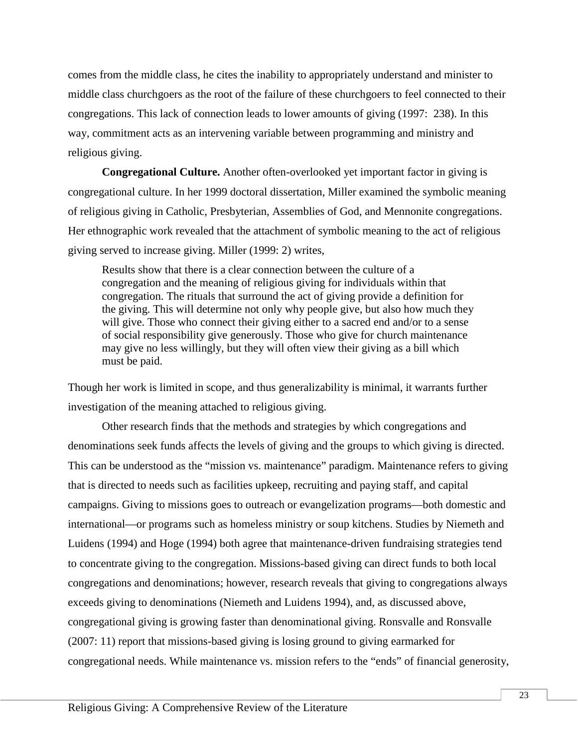comes from the middle class, he cites the inability to appropriately understand and minister to middle class churchgoers as the root of the failure of these churchgoers to feel connected to their congregations. This lack of connection leads to lower amounts of giving (1997: 238). In this way, commitment acts as an intervening variable between programming and ministry and religious giving.

**Congregational Culture.** Another often-overlooked yet important factor in giving is congregational culture. In her 1999 doctoral dissertation, Miller examined the symbolic meaning of religious giving in Catholic, Presbyterian, Assemblies of God, and Mennonite congregations. Her ethnographic work revealed that the attachment of symbolic meaning to the act of religious giving served to increase giving. Miller (1999: 2) writes,

Results show that there is a clear connection between the culture of a congregation and the meaning of religious giving for individuals within that congregation. The rituals that surround the act of giving provide a definition for the giving. This will determine not only why people give, but also how much they will give. Those who connect their giving either to a sacred end and/or to a sense of social responsibility give generously. Those who give for church maintenance may give no less willingly, but they will often view their giving as a bill which must be paid.

Though her work is limited in scope, and thus generalizability is minimal, it warrants further investigation of the meaning attached to religious giving.

Other research finds that the methods and strategies by which congregations and denominations seek funds affects the levels of giving and the groups to which giving is directed. This can be understood as the "mission vs. maintenance" paradigm. Maintenance refers to giving that is directed to needs such as facilities upkeep, recruiting and paying staff, and capital campaigns. Giving to missions goes to outreach or evangelization programs—both domestic and international—or programs such as homeless ministry or soup kitchens. Studies by Niemeth and Luidens (1994) and Hoge (1994) both agree that maintenance-driven fundraising strategies tend to concentrate giving to the congregation. Missions-based giving can direct funds to both local congregations and denominations; however, research reveals that giving to congregations always exceeds giving to denominations (Niemeth and Luidens 1994), and, as discussed above, congregational giving is growing faster than denominational giving. Ronsvalle and Ronsvalle (2007: 11) report that missions-based giving is losing ground to giving earmarked for congregational needs. While maintenance vs. mission refers to the "ends" of financial generosity,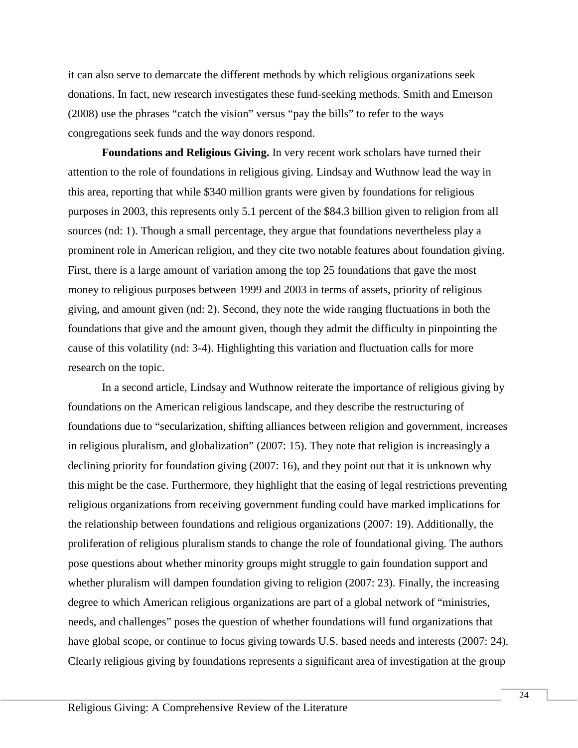it can also serve to demarcate the different methods by which religious organizations seek donations. In fact, new research investigates these fund-seeking methods. Smith and Emerson (2008) use the phrases "catch the vision" versus "pay the bills" to refer to the ways congregations seek funds and the way donors respond.

**Foundations and Religious Giving.** In very recent work scholars have turned their attention to the role of foundations in religious giving. Lindsay and Wuthnow lead the way in this area, reporting that while \$340 million grants were given by foundations for religious purposes in 2003, this represents only 5.1 percent of the \$84.3 billion given to religion from all sources (nd: 1). Though a small percentage, they argue that foundations nevertheless play a prominent role in American religion, and they cite two notable features about foundation giving. First, there is a large amount of variation among the top 25 foundations that gave the most money to religious purposes between 1999 and 2003 in terms of assets, priority of religious giving, and amount given (nd: 2). Second, they note the wide ranging fluctuations in both the foundations that give and the amount given, though they admit the difficulty in pinpointing the cause of this volatility (nd: 3-4). Highlighting this variation and fluctuation calls for more research on the topic.

In a second article, Lindsay and Wuthnow reiterate the importance of religious giving by foundations on the American religious landscape, and they describe the restructuring of foundations due to "secularization, shifting alliances between religion and government, increases in religious pluralism, and globalization" (2007: 15). They note that religion is increasingly a declining priority for foundation giving (2007: 16), and they point out that it is unknown why this might be the case. Furthermore, they highlight that the easing of legal restrictions preventing religious organizations from receiving government funding could have marked implications for the relationship between foundations and religious organizations (2007: 19). Additionally, the proliferation of religious pluralism stands to change the role of foundational giving. The authors pose questions about whether minority groups might struggle to gain foundation support and whether pluralism will dampen foundation giving to religion (2007: 23). Finally, the increasing degree to which American religious organizations are part of a global network of "ministries, needs, and challenges" poses the question of whether foundations will fund organizations that have global scope, or continue to focus giving towards U.S. based needs and interests (2007: 24). Clearly religious giving by foundations represents a significant area of investigation at the group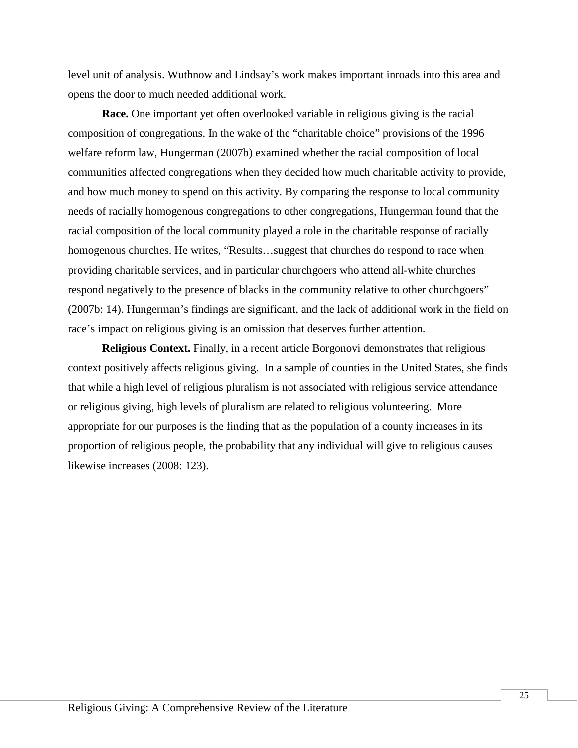level unit of analysis. Wuthnow and Lindsay's work makes important inroads into this area and opens the door to much needed additional work.

**Race.** One important yet often overlooked variable in religious giving is the racial composition of congregations. In the wake of the "charitable choice" provisions of the 1996 welfare reform law, Hungerman (2007b) examined whether the racial composition of local communities affected congregations when they decided how much charitable activity to provide, and how much money to spend on this activity. By comparing the response to local community needs of racially homogenous congregations to other congregations, Hungerman found that the racial composition of the local community played a role in the charitable response of racially homogenous churches. He writes, "Results...suggest that churches do respond to race when providing charitable services, and in particular churchgoers who attend all-white churches respond negatively to the presence of blacks in the community relative to other churchgoers" (2007b: 14). Hungerman's findings are significant, and the lack of additional work in the field on race's impact on religious giving is an omission that deserves further attention.

**Religious Context.** Finally, in a recent article Borgonovi demonstrates that religious context positively affects religious giving. In a sample of counties in the United States, she finds that while a high level of religious pluralism is not associated with religious service attendance or religious giving, high levels of pluralism are related to religious volunteering. More appropriate for our purposes is the finding that as the population of a county increases in its proportion of religious people, the probability that any individual will give to religious causes likewise increases (2008: 123).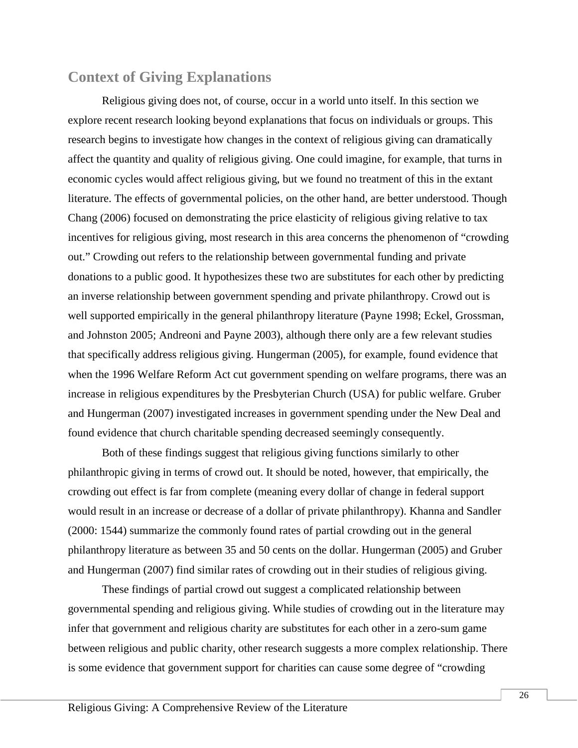## **Context of Giving Explanations**

Religious giving does not, of course, occur in a world unto itself. In this section we explore recent research looking beyond explanations that focus on individuals or groups. This research begins to investigate how changes in the context of religious giving can dramatically affect the quantity and quality of religious giving. One could imagine, for example, that turns in economic cycles would affect religious giving, but we found no treatment of this in the extant literature. The effects of governmental policies, on the other hand, are better understood. Though Chang (2006) focused on demonstrating the price elasticity of religious giving relative to tax incentives for religious giving, most research in this area concerns the phenomenon of "crowding out." Crowding out refers to the relationship between governmental funding and private donations to a public good. It hypothesizes these two are substitutes for each other by predicting an inverse relationship between government spending and private philanthropy. Crowd out is well supported empirically in the general philanthropy literature (Payne 1998; Eckel, Grossman, and Johnston 2005; Andreoni and Payne 2003), although there only are a few relevant studies that specifically address religious giving. Hungerman (2005), for example, found evidence that when the 1996 Welfare Reform Act cut government spending on welfare programs, there was an increase in religious expenditures by the Presbyterian Church (USA) for public welfare. Gruber and Hungerman (2007) investigated increases in government spending under the New Deal and found evidence that church charitable spending decreased seemingly consequently.

Both of these findings suggest that religious giving functions similarly to other philanthropic giving in terms of crowd out. It should be noted, however, that empirically, the crowding out effect is far from complete (meaning every dollar of change in federal support would result in an increase or decrease of a dollar of private philanthropy). Khanna and Sandler (2000: 1544) summarize the commonly found rates of partial crowding out in the general philanthropy literature as between 35 and 50 cents on the dollar. Hungerman (2005) and Gruber and Hungerman (2007) find similar rates of crowding out in their studies of religious giving.

These findings of partial crowd out suggest a complicated relationship between governmental spending and religious giving. While studies of crowding out in the literature may infer that government and religious charity are substitutes for each other in a zero-sum game between religious and public charity, other research suggests a more complex relationship. There is some evidence that government support for charities can cause some degree of "crowding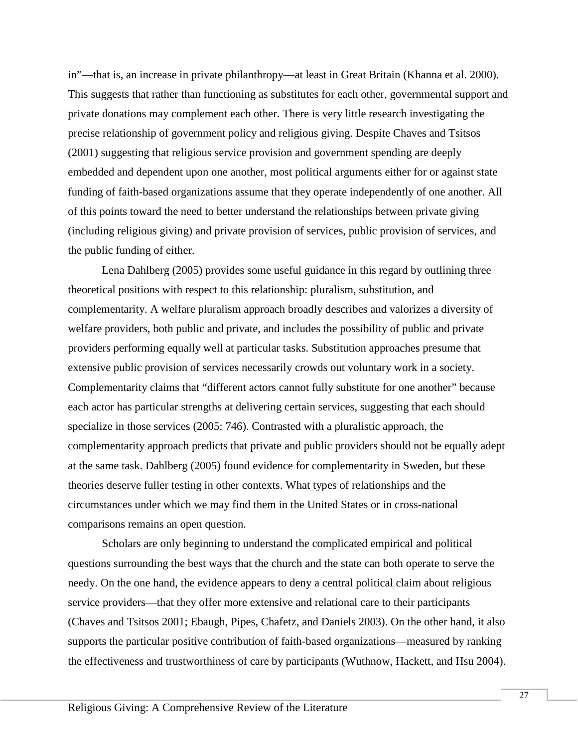in"—that is, an increase in private philanthropy—at least in Great Britain (Khanna et al. 2000). This suggests that rather than functioning as substitutes for each other, governmental support and private donations may complement each other. There is very little research investigating the precise relationship of government policy and religious giving. Despite Chaves and Tsitsos (2001) suggesting that religious service provision and government spending are deeply embedded and dependent upon one another, most political arguments either for or against state funding of faith-based organizations assume that they operate independently of one another. All of this points toward the need to better understand the relationships between private giving (including religious giving) and private provision of services, public provision of services, and the public funding of either.

Lena Dahlberg (2005) provides some useful guidance in this regard by outlining three theoretical positions with respect to this relationship: pluralism, substitution, and complementarity. A welfare pluralism approach broadly describes and valorizes a diversity of welfare providers, both public and private, and includes the possibility of public and private providers performing equally well at particular tasks. Substitution approaches presume that extensive public provision of services necessarily crowds out voluntary work in a society. Complementarity claims that "different actors cannot fully substitute for one another" because each actor has particular strengths at delivering certain services, suggesting that each should specialize in those services (2005: 746). Contrasted with a pluralistic approach, the complementarity approach predicts that private and public providers should not be equally adept at the same task. Dahlberg (2005) found evidence for complementarity in Sweden, but these theories deserve fuller testing in other contexts. What types of relationships and the circumstances under which we may find them in the United States or in cross-national comparisons remains an open question.

Scholars are only beginning to understand the complicated empirical and political questions surrounding the best ways that the church and the state can both operate to serve the needy. On the one hand, the evidence appears to deny a central political claim about religious service providers—that they offer more extensive and relational care to their participants (Chaves and Tsitsos 2001; Ebaugh, Pipes, Chafetz, and Daniels 2003). On the other hand, it also supports the particular positive contribution of faith-based organizations—measured by ranking the effectiveness and trustworthiness of care by participants (Wuthnow, Hackett, and Hsu 2004).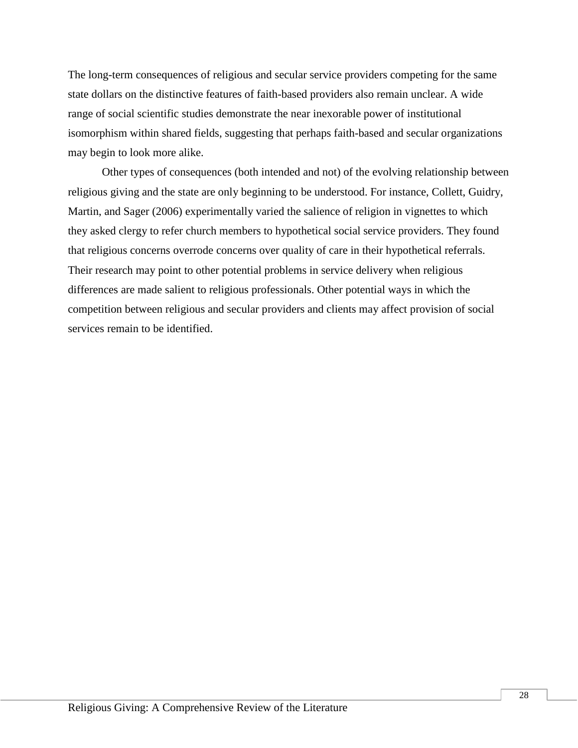The long-term consequences of religious and secular service providers competing for the same state dollars on the distinctive features of faith-based providers also remain unclear. A wide range of social scientific studies demonstrate the near inexorable power of institutional isomorphism within shared fields, suggesting that perhaps faith-based and secular organizations may begin to look more alike.

Other types of consequences (both intended and not) of the evolving relationship between religious giving and the state are only beginning to be understood. For instance, Collett, Guidry, Martin, and Sager (2006) experimentally varied the salience of religion in vignettes to which they asked clergy to refer church members to hypothetical social service providers. They found that religious concerns overrode concerns over quality of care in their hypothetical referrals. Their research may point to other potential problems in service delivery when religious differences are made salient to religious professionals. Other potential ways in which the competition between religious and secular providers and clients may affect provision of social services remain to be identified.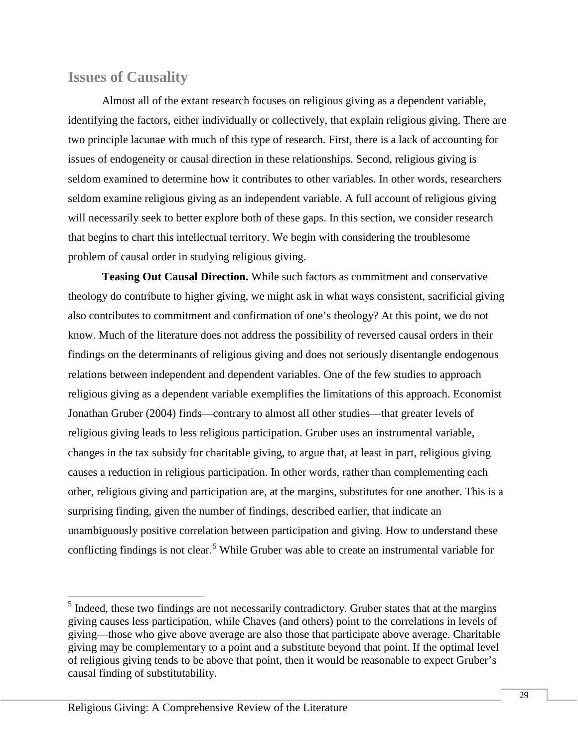### **Issues of Causality**

Almost all of the extant research focuses on religious giving as a dependent variable, identifying the factors, either individually or collectively, that explain religious giving. There are two principle lacunae with much of this type of research. First, there is a lack of accounting for issues of endogeneity or causal direction in these relationships. Second, religious giving is seldom examined to determine how it contributes to other variables. In other words, researchers seldom examine religious giving as an independent variable. A full account of religious giving will necessarily seek to better explore both of these gaps. In this section, we consider research that begins to chart this intellectual territory. We begin with considering the troublesome problem of causal order in studying religious giving.

**Teasing Out Causal Direction.** While such factors as commitment and conservative theology do contribute to higher giving, we might ask in what ways consistent, sacrificial giving also contributes to commitment and confirmation of one's theology? At this point, we do not know. Much of the literature does not address the possibility of reversed causal orders in their findings on the determinants of religious giving and does not seriously disentangle endogenous relations between independent and dependent variables. One of the few studies to approach religious giving as a dependent variable exemplifies the limitations of this approach. Economist Jonathan Gruber (2004) finds—contrary to almost all other studies—that greater levels of religious giving leads to less religious participation. Gruber uses an instrumental variable, changes in the tax subsidy for charitable giving, to argue that, at least in part, religious giving causes a reduction in religious participation. In other words, rather than complementing each other, religious giving and participation are, at the margins, substitutes for one another. This is a surprising finding, given the number of findings, described earlier, that indicate an unambiguously positive correlation between participation and giving. How to understand these conflicting findings is not clear.<sup>[5](#page-28-0)</sup> While Gruber was able to create an instrumental variable for

<span id="page-28-0"></span> $<sup>5</sup>$  Indeed, these two findings are not necessarily contradictory. Gruber states that at the margins</sup> giving causes less participation, while Chaves (and others) point to the correlations in levels of giving—those who give above average are also those that participate above average. Charitable giving may be complementary to a point and a substitute beyond that point. If the optimal level of religious giving tends to be above that point, then it would be reasonable to expect Gruber's causal finding of substitutability.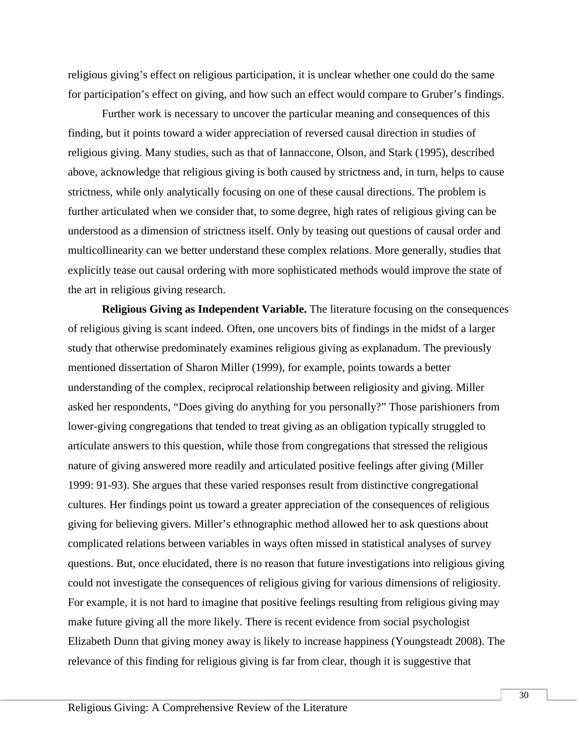religious giving's effect on religious participation, it is unclear whether one could do the same for participation's effect on giving, and how such an effect would compare to Gruber's findings.

Further work is necessary to uncover the particular meaning and consequences of this finding, but it points toward a wider appreciation of reversed causal direction in studies of religious giving. Many studies, such as that of Iannaccone, Olson, and Stark (1995), described above, acknowledge that religious giving is both caused by strictness and, in turn, helps to cause strictness, while only analytically focusing on one of these causal directions. The problem is further articulated when we consider that, to some degree, high rates of religious giving can be understood as a dimension of strictness itself. Only by teasing out questions of causal order and multicollinearity can we better understand these complex relations. More generally, studies that explicitly tease out causal ordering with more sophisticated methods would improve the state of the art in religious giving research.

**Religious Giving as Independent Variable.** The literature focusing on the consequences of religious giving is scant indeed. Often, one uncovers bits of findings in the midst of a larger study that otherwise predominately examines religious giving as explanadum. The previously mentioned dissertation of Sharon Miller (1999), for example, points towards a better understanding of the complex, reciprocal relationship between religiosity and giving. Miller asked her respondents, "Does giving do anything for you personally?" Those parishioners from lower-giving congregations that tended to treat giving as an obligation typically struggled to articulate answers to this question, while those from congregations that stressed the religious nature of giving answered more readily and articulated positive feelings after giving (Miller 1999: 91-93). She argues that these varied responses result from distinctive congregational cultures. Her findings point us toward a greater appreciation of the consequences of religious giving for believing givers. Miller's ethnographic method allowed her to ask questions about complicated relations between variables in ways often missed in statistical analyses of survey questions. But, once elucidated, there is no reason that future investigations into religious giving could not investigate the consequences of religious giving for various dimensions of religiosity. For example, it is not hard to imagine that positive feelings resulting from religious giving may make future giving all the more likely. There is recent evidence from social psychologist Elizabeth Dunn that giving money away is likely to increase happiness (Youngsteadt 2008). The relevance of this finding for religious giving is far from clear, though it is suggestive that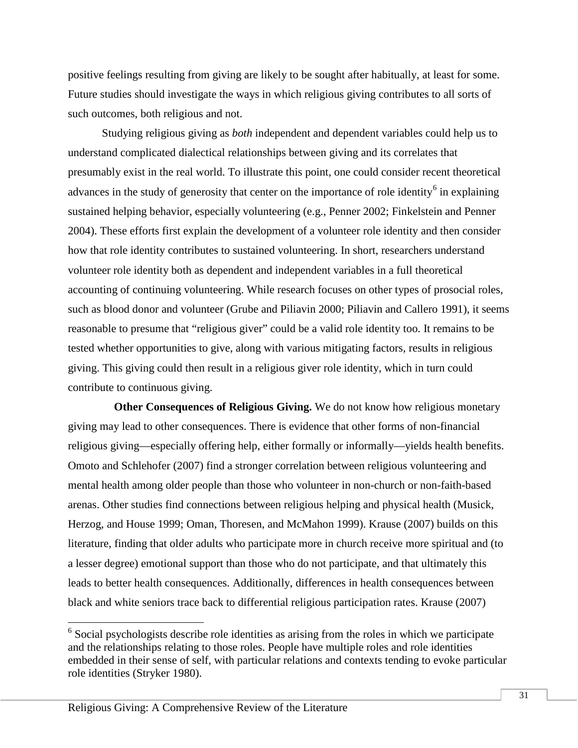positive feelings resulting from giving are likely to be sought after habitually, at least for some. Future studies should investigate the ways in which religious giving contributes to all sorts of such outcomes, both religious and not.

Studying religious giving as *both* independent and dependent variables could help us to understand complicated dialectical relationships between giving and its correlates that presumably exist in the real world. To illustrate this point, one could consider recent theoretical advances in the study of generosity that center on the importance of role identity<sup>[6](#page-30-0)</sup> in explaining sustained helping behavior, especially volunteering (e.g., Penner 2002; Finkelstein and Penner 2004). These efforts first explain the development of a volunteer role identity and then consider how that role identity contributes to sustained volunteering. In short, researchers understand volunteer role identity both as dependent and independent variables in a full theoretical accounting of continuing volunteering. While research focuses on other types of prosocial roles, such as blood donor and volunteer (Grube and Piliavin 2000; Piliavin and Callero 1991), it seems reasonable to presume that "religious giver" could be a valid role identity too. It remains to be tested whether opportunities to give, along with various mitigating factors, results in religious giving. This giving could then result in a religious giver role identity, which in turn could contribute to continuous giving.

**Other Consequences of Religious Giving.** We do not know how religious monetary giving may lead to other consequences. There is evidence that other forms of non-financial religious giving—especially offering help, either formally or informally—yields health benefits. Omoto and Schlehofer (2007) find a stronger correlation between religious volunteering and mental health among older people than those who volunteer in non-church or non-faith-based arenas. Other studies find connections between religious helping and physical health (Musick, Herzog, and House 1999; Oman, Thoresen, and McMahon 1999). Krause (2007) builds on this literature, finding that older adults who participate more in church receive more spiritual and (to a lesser degree) emotional support than those who do not participate, and that ultimately this leads to better health consequences. Additionally, differences in health consequences between black and white seniors trace back to differential religious participation rates. Krause (2007)

<span id="page-30-0"></span> <sup>6</sup> Social psychologists describe role identities as arising from the roles in which we participate and the relationships relating to those roles. People have multiple roles and role identities embedded in their sense of self, with particular relations and contexts tending to evoke particular role identities (Stryker 1980).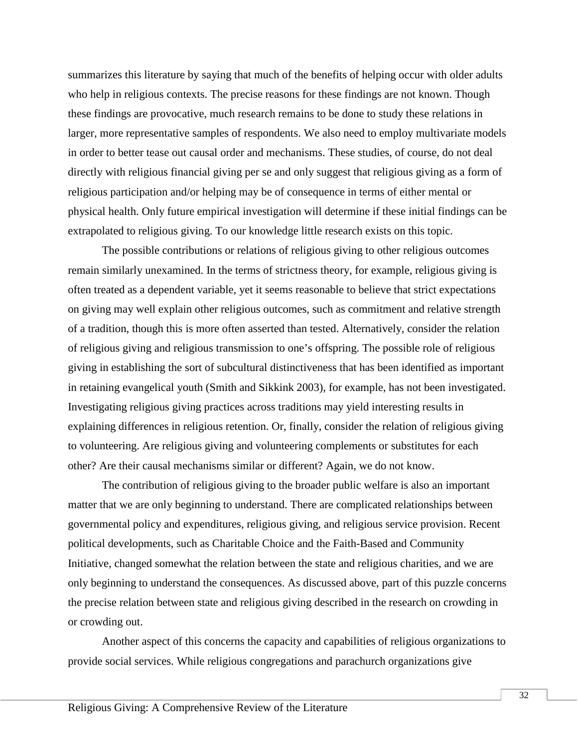summarizes this literature by saying that much of the benefits of helping occur with older adults who help in religious contexts. The precise reasons for these findings are not known. Though these findings are provocative, much research remains to be done to study these relations in larger, more representative samples of respondents. We also need to employ multivariate models in order to better tease out causal order and mechanisms. These studies, of course, do not deal directly with religious financial giving per se and only suggest that religious giving as a form of religious participation and/or helping may be of consequence in terms of either mental or physical health. Only future empirical investigation will determine if these initial findings can be extrapolated to religious giving. To our knowledge little research exists on this topic.

The possible contributions or relations of religious giving to other religious outcomes remain similarly unexamined. In the terms of strictness theory, for example, religious giving is often treated as a dependent variable, yet it seems reasonable to believe that strict expectations on giving may well explain other religious outcomes, such as commitment and relative strength of a tradition, though this is more often asserted than tested. Alternatively, consider the relation of religious giving and religious transmission to one's offspring. The possible role of religious giving in establishing the sort of subcultural distinctiveness that has been identified as important in retaining evangelical youth (Smith and Sikkink 2003), for example, has not been investigated. Investigating religious giving practices across traditions may yield interesting results in explaining differences in religious retention. Or, finally, consider the relation of religious giving to volunteering. Are religious giving and volunteering complements or substitutes for each other? Are their causal mechanisms similar or different? Again, we do not know.

The contribution of religious giving to the broader public welfare is also an important matter that we are only beginning to understand. There are complicated relationships between governmental policy and expenditures, religious giving, and religious service provision. Recent political developments, such as Charitable Choice and the Faith-Based and Community Initiative, changed somewhat the relation between the state and religious charities, and we are only beginning to understand the consequences. As discussed above, part of this puzzle concerns the precise relation between state and religious giving described in the research on crowding in or crowding out.

Another aspect of this concerns the capacity and capabilities of religious organizations to provide social services. While religious congregations and parachurch organizations give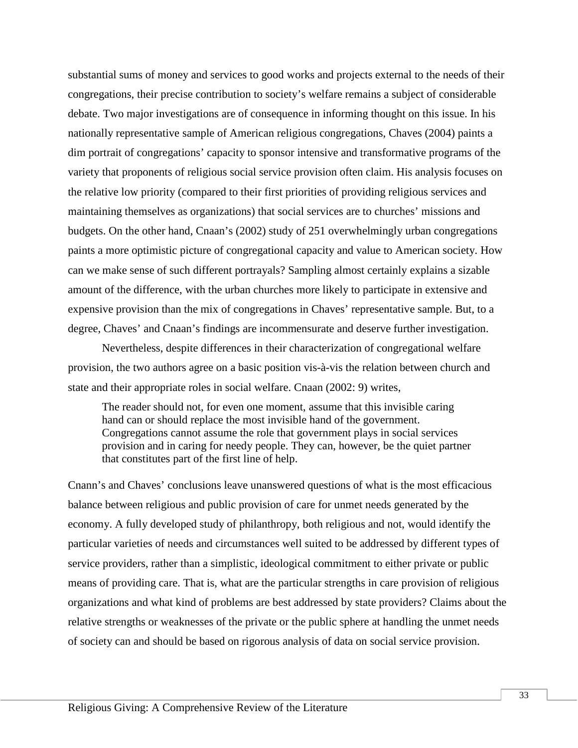substantial sums of money and services to good works and projects external to the needs of their congregations, their precise contribution to society's welfare remains a subject of considerable debate. Two major investigations are of consequence in informing thought on this issue. In his nationally representative sample of American religious congregations, Chaves (2004) paints a dim portrait of congregations' capacity to sponsor intensive and transformative programs of the variety that proponents of religious social service provision often claim. His analysis focuses on the relative low priority (compared to their first priorities of providing religious services and maintaining themselves as organizations) that social services are to churches' missions and budgets. On the other hand, Cnaan's (2002) study of 251 overwhelmingly urban congregations paints a more optimistic picture of congregational capacity and value to American society. How can we make sense of such different portrayals? Sampling almost certainly explains a sizable amount of the difference, with the urban churches more likely to participate in extensive and expensive provision than the mix of congregations in Chaves' representative sample. But, to a degree, Chaves' and Cnaan's findings are incommensurate and deserve further investigation.

Nevertheless, despite differences in their characterization of congregational welfare provision, the two authors agree on a basic position vis-à-vis the relation between church and state and their appropriate roles in social welfare. Cnaan (2002: 9) writes,

The reader should not, for even one moment, assume that this invisible caring hand can or should replace the most invisible hand of the government. Congregations cannot assume the role that government plays in social services provision and in caring for needy people. They can, however, be the quiet partner that constitutes part of the first line of help.

Cnann's and Chaves' conclusions leave unanswered questions of what is the most efficacious balance between religious and public provision of care for unmet needs generated by the economy. A fully developed study of philanthropy, both religious and not, would identify the particular varieties of needs and circumstances well suited to be addressed by different types of service providers, rather than a simplistic, ideological commitment to either private or public means of providing care. That is, what are the particular strengths in care provision of religious organizations and what kind of problems are best addressed by state providers? Claims about the relative strengths or weaknesses of the private or the public sphere at handling the unmet needs of society can and should be based on rigorous analysis of data on social service provision.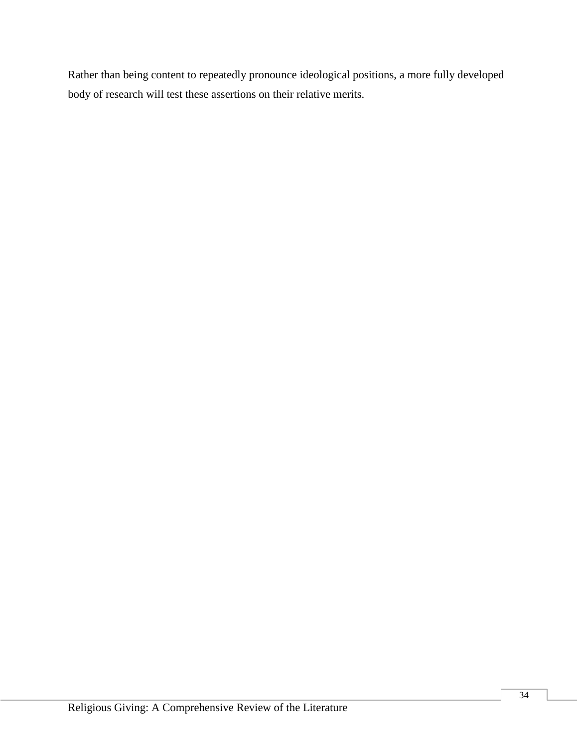Rather than being content to repeatedly pronounce ideological positions, a more fully developed body of research will test these assertions on their relative merits.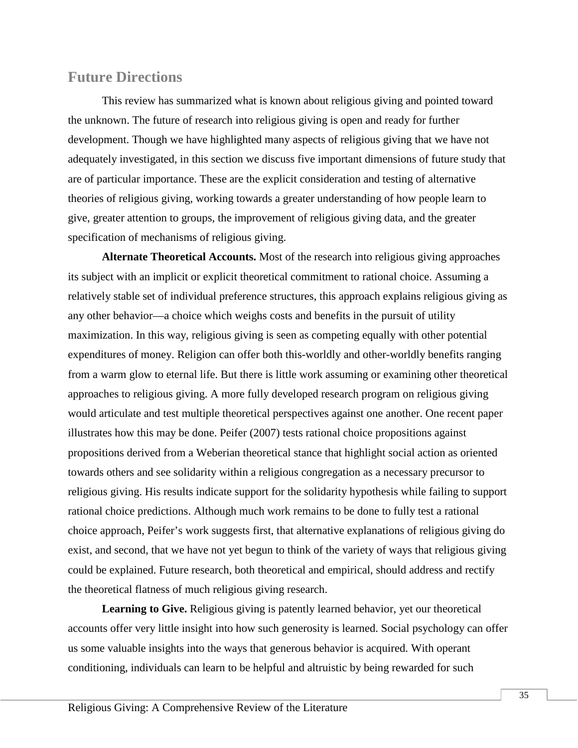### **Future Directions**

This review has summarized what is known about religious giving and pointed toward the unknown. The future of research into religious giving is open and ready for further development. Though we have highlighted many aspects of religious giving that we have not adequately investigated, in this section we discuss five important dimensions of future study that are of particular importance. These are the explicit consideration and testing of alternative theories of religious giving, working towards a greater understanding of how people learn to give, greater attention to groups, the improvement of religious giving data, and the greater specification of mechanisms of religious giving.

**Alternate Theoretical Accounts.** Most of the research into religious giving approaches its subject with an implicit or explicit theoretical commitment to rational choice. Assuming a relatively stable set of individual preference structures, this approach explains religious giving as any other behavior—a choice which weighs costs and benefits in the pursuit of utility maximization. In this way, religious giving is seen as competing equally with other potential expenditures of money. Religion can offer both this-worldly and other-worldly benefits ranging from a warm glow to eternal life. But there is little work assuming or examining other theoretical approaches to religious giving. A more fully developed research program on religious giving would articulate and test multiple theoretical perspectives against one another. One recent paper illustrates how this may be done. Peifer (2007) tests rational choice propositions against propositions derived from a Weberian theoretical stance that highlight social action as oriented towards others and see solidarity within a religious congregation as a necessary precursor to religious giving. His results indicate support for the solidarity hypothesis while failing to support rational choice predictions. Although much work remains to be done to fully test a rational choice approach, Peifer's work suggests first, that alternative explanations of religious giving do exist, and second, that we have not yet begun to think of the variety of ways that religious giving could be explained. Future research, both theoretical and empirical, should address and rectify the theoretical flatness of much religious giving research.

Learning to Give. Religious giving is patently learned behavior, yet our theoretical accounts offer very little insight into how such generosity is learned. Social psychology can offer us some valuable insights into the ways that generous behavior is acquired. With operant conditioning, individuals can learn to be helpful and altruistic by being rewarded for such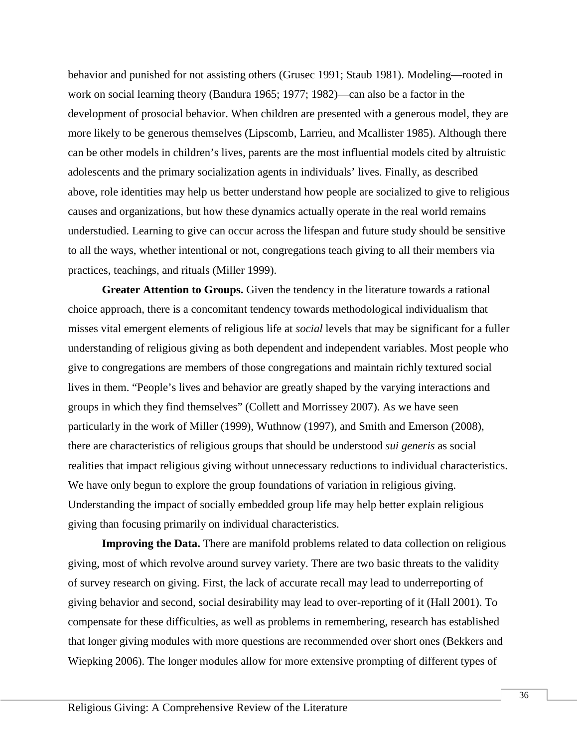behavior and punished for not assisting others (Grusec 1991; Staub 1981). Modeling—rooted in work on social learning theory (Bandura 1965; 1977; 1982)—can also be a factor in the development of prosocial behavior. When children are presented with a generous model, they are more likely to be generous themselves (Lipscomb, Larrieu, and Mcallister 1985). Although there can be other models in children's lives, parents are the most influential models cited by altruistic adolescents and the primary socialization agents in individuals' lives. Finally, as described above, role identities may help us better understand how people are socialized to give to religious causes and organizations, but how these dynamics actually operate in the real world remains understudied. Learning to give can occur across the lifespan and future study should be sensitive to all the ways, whether intentional or not, congregations teach giving to all their members via practices, teachings, and rituals (Miller 1999).

**Greater Attention to Groups.** Given the tendency in the literature towards a rational choice approach, there is a concomitant tendency towards methodological individualism that misses vital emergent elements of religious life at *social* levels that may be significant for a fuller understanding of religious giving as both dependent and independent variables. Most people who give to congregations are members of those congregations and maintain richly textured social lives in them. "People's lives and behavior are greatly shaped by the varying interactions and groups in which they find themselves" (Collett and Morrissey 2007). As we have seen particularly in the work of Miller (1999), Wuthnow (1997), and Smith and Emerson (2008), there are characteristics of religious groups that should be understood *sui generis* as social realities that impact religious giving without unnecessary reductions to individual characteristics. We have only begun to explore the group foundations of variation in religious giving. Understanding the impact of socially embedded group life may help better explain religious giving than focusing primarily on individual characteristics.

**Improving the Data.** There are manifold problems related to data collection on religious giving, most of which revolve around survey variety. There are two basic threats to the validity of survey research on giving. First, the lack of accurate recall may lead to underreporting of giving behavior and second, social desirability may lead to over-reporting of it (Hall 2001). To compensate for these difficulties, as well as problems in remembering, research has established that longer giving modules with more questions are recommended over short ones (Bekkers and Wiepking 2006). The longer modules allow for more extensive prompting of different types of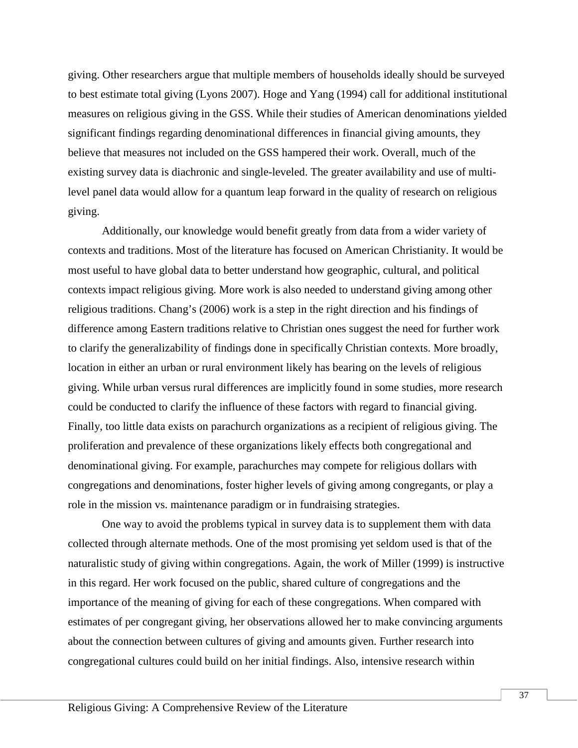giving. Other researchers argue that multiple members of households ideally should be surveyed to best estimate total giving (Lyons 2007). Hoge and Yang (1994) call for additional institutional measures on religious giving in the GSS. While their studies of American denominations yielded significant findings regarding denominational differences in financial giving amounts, they believe that measures not included on the GSS hampered their work. Overall, much of the existing survey data is diachronic and single-leveled. The greater availability and use of multilevel panel data would allow for a quantum leap forward in the quality of research on religious giving.

Additionally, our knowledge would benefit greatly from data from a wider variety of contexts and traditions. Most of the literature has focused on American Christianity. It would be most useful to have global data to better understand how geographic, cultural, and political contexts impact religious giving. More work is also needed to understand giving among other religious traditions. Chang's (2006) work is a step in the right direction and his findings of difference among Eastern traditions relative to Christian ones suggest the need for further work to clarify the generalizability of findings done in specifically Christian contexts. More broadly, location in either an urban or rural environment likely has bearing on the levels of religious giving. While urban versus rural differences are implicitly found in some studies, more research could be conducted to clarify the influence of these factors with regard to financial giving. Finally, too little data exists on parachurch organizations as a recipient of religious giving. The proliferation and prevalence of these organizations likely effects both congregational and denominational giving. For example, parachurches may compete for religious dollars with congregations and denominations, foster higher levels of giving among congregants, or play a role in the mission vs. maintenance paradigm or in fundraising strategies.

One way to avoid the problems typical in survey data is to supplement them with data collected through alternate methods. One of the most promising yet seldom used is that of the naturalistic study of giving within congregations. Again, the work of Miller (1999) is instructive in this regard. Her work focused on the public, shared culture of congregations and the importance of the meaning of giving for each of these congregations. When compared with estimates of per congregant giving, her observations allowed her to make convincing arguments about the connection between cultures of giving and amounts given. Further research into congregational cultures could build on her initial findings. Also, intensive research within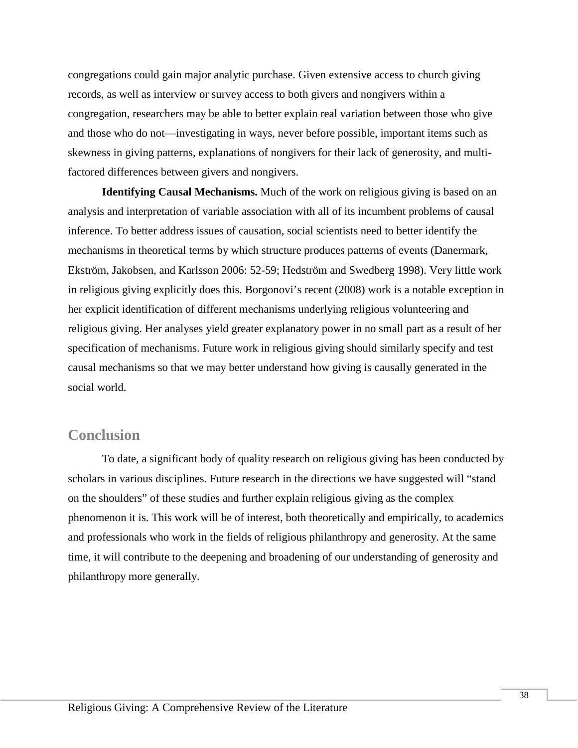congregations could gain major analytic purchase. Given extensive access to church giving records, as well as interview or survey access to both givers and nongivers within a congregation, researchers may be able to better explain real variation between those who give and those who do not—investigating in ways, never before possible, important items such as skewness in giving patterns, explanations of nongivers for their lack of generosity, and multifactored differences between givers and nongivers.

**Identifying Causal Mechanisms.** Much of the work on religious giving is based on an analysis and interpretation of variable association with all of its incumbent problems of causal inference. To better address issues of causation, social scientists need to better identify the mechanisms in theoretical terms by which structure produces patterns of events (Danermark, Ekström, Jakobsen, and Karlsson 2006: 52-59; Hedström and Swedberg 1998). Very little work in religious giving explicitly does this. Borgonovi's recent (2008) work is a notable exception in her explicit identification of different mechanisms underlying religious volunteering and religious giving. Her analyses yield greater explanatory power in no small part as a result of her specification of mechanisms. Future work in religious giving should similarly specify and test causal mechanisms so that we may better understand how giving is causally generated in the social world.

### **Conclusion**

To date, a significant body of quality research on religious giving has been conducted by scholars in various disciplines. Future research in the directions we have suggested will "stand on the shoulders" of these studies and further explain religious giving as the complex phenomenon it is. This work will be of interest, both theoretically and empirically, to academics and professionals who work in the fields of religious philanthropy and generosity. At the same time, it will contribute to the deepening and broadening of our understanding of generosity and philanthropy more generally.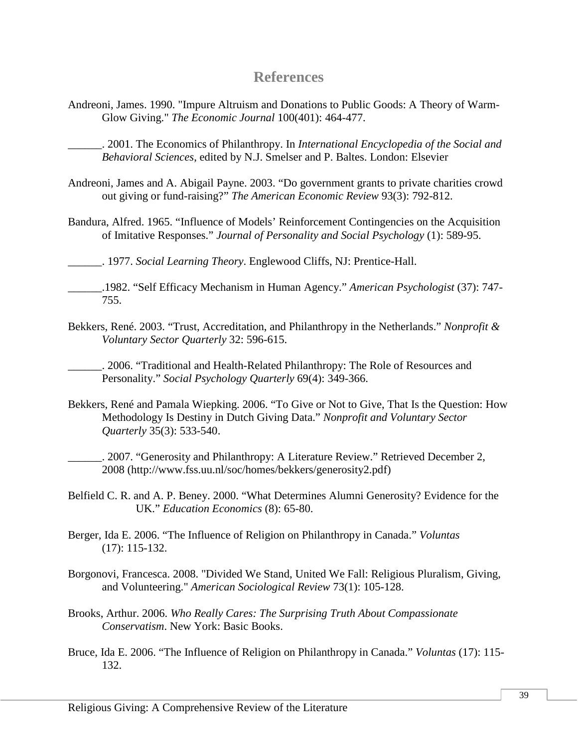### **References**

Andreoni, James. 1990. "Impure Altruism and Donations to Public Goods: A Theory of Warm-Glow Giving." *The Economic Journal* 100(401): 464-477.

\_\_\_\_\_\_. 2001. The Economics of Philanthropy. In *International Encyclopedia of the Social and Behavioral Sciences*, edited by N.J. Smelser and P. Baltes. London: Elsevier

- Andreoni, James and A. Abigail Payne. 2003. "Do government grants to private charities crowd out giving or fund-raising?" *The American Economic Review* 93(3): 792-812.
- Bandura, Alfred. 1965. "Influence of Models' Reinforcement Contingencies on the Acquisition of Imitative Responses." *Journal of Personality and Social Psychology* (1): 589-95.

\_\_\_\_\_\_. 1977. *Social Learning Theory*. Englewood Cliffs, NJ: Prentice-Hall.

- \_\_\_\_\_\_.1982. "Self Efficacy Mechanism in Human Agency." *American Psychologist* (37): 747- 755.
- Bekkers, René. 2003. "Trust, Accreditation, and Philanthropy in the Netherlands." *Nonprofit & Voluntary Sector Quarterly* 32: 596-615.

\_\_\_\_\_\_. 2006. "Traditional and Health-Related Philanthropy: The Role of Resources and Personality." *Social Psychology Quarterly* 69(4): 349-366.

Bekkers, René and Pamala Wiepking. 2006. "To Give or Not to Give, That Is the Question: How Methodology Is Destiny in Dutch Giving Data." *Nonprofit and Voluntary Sector Quarterly* 35(3): 533-540.

\_\_\_\_\_\_. 2007. "Generosity and Philanthropy: A Literature Review." Retrieved December 2, 2008 (http://www.fss.uu.nl/soc/homes/bekkers/generosity2.pdf)

- Belfield C. R. and A. P. Beney. 2000. "What Determines Alumni Generosity? Evidence for the UK." *Education Economics* (8): 65-80.
- Berger, Ida E. 2006. "The Influence of Religion on Philanthropy in Canada." *Voluntas*  (17): 115-132.
- Borgonovi, Francesca. 2008. "Divided We Stand, United We Fall: Religious Pluralism, Giving, and Volunteering." *American Sociological Review* 73(1): 105-128.
- Brooks, Arthur. 2006. *Who Really Cares: The Surprising Truth About Compassionate Conservatism*. New York: Basic Books.
- Bruce, Ida E. 2006. "The Influence of Religion on Philanthropy in Canada." *Voluntas* (17): 115- 132.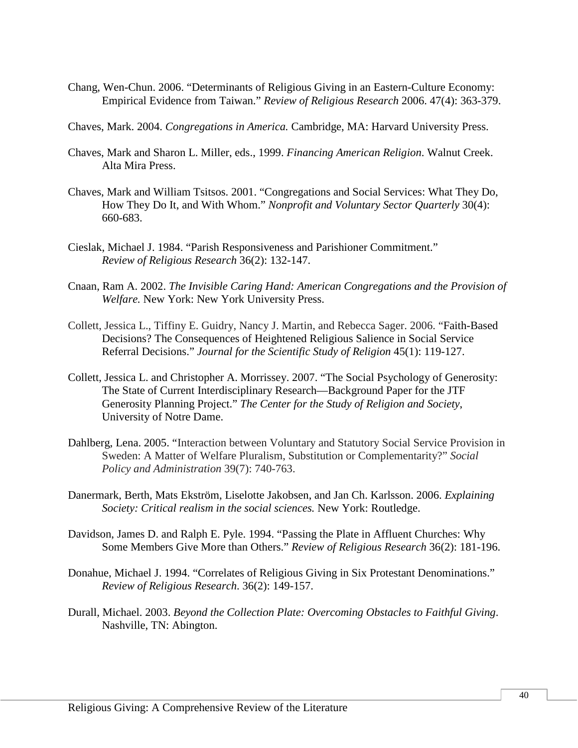- Chang, Wen-Chun. 2006. "Determinants of Religious Giving in an Eastern-Culture Economy: Empirical Evidence from Taiwan." *Review of Religious Research* 2006. 47(4): 363-379.
- Chaves, Mark. 2004. *Congregations in America.* Cambridge, MA: Harvard University Press.
- Chaves, Mark and Sharon L. Miller, eds., 1999. *Financing American Religion*. Walnut Creek. Alta Mira Press.
- Chaves, Mark and William Tsitsos. 2001. "Congregations and Social Services: What They Do, How They Do It, and With Whom." *Nonprofit and Voluntary Sector Quarterly* 30(4): 660-683.
- Cieslak, Michael J. 1984. "Parish Responsiveness and Parishioner Commitment." *Review of Religious Research* 36(2): 132-147.
- Cnaan, Ram A. 2002. *The Invisible Caring Hand: American Congregations and the Provision of Welfare.* New York: New York University Press.
- Collett, Jessica L., Tiffiny E. Guidry, Nancy J. Martin, and Rebecca Sager. 2006. "Faith-Based Decisions? The Consequences of Heightened Religious Salience in Social Service Referral Decisions." *Journal for the Scientific Study of Religion* 45(1): 119-127.
- Collett, Jessica L. and Christopher A. Morrissey. 2007. "The Social Psychology of Generosity: The State of Current Interdisciplinary Research—Background Paper for the JTF Generosity Planning Project." *The Center for the Study of Religion and Society*, University of Notre Dame.
- Dahlberg, Lena. 2005. "Interaction between Voluntary and Statutory Social Service Provision in Sweden: A Matter of Welfare Pluralism, Substitution or Complementarity?" *Social Policy and Administration* 39(7): 740-763.
- Danermark, Berth, Mats Ekström, Liselotte Jakobsen, and Jan Ch. Karlsson. 2006. *Explaining Society: Critical realism in the social sciences.* New York: Routledge.
- Davidson, James D. and Ralph E. Pyle. 1994. "Passing the Plate in Affluent Churches: Why Some Members Give More than Others." *Review of Religious Research* 36(2): 181-196.
- Donahue, Michael J. 1994. "Correlates of Religious Giving in Six Protestant Denominations." *Review of Religious Research*. 36(2): 149-157.
- Durall, Michael. 2003. *Beyond the Collection Plate: Overcoming Obstacles to Faithful Giving*. Nashville, TN: Abington.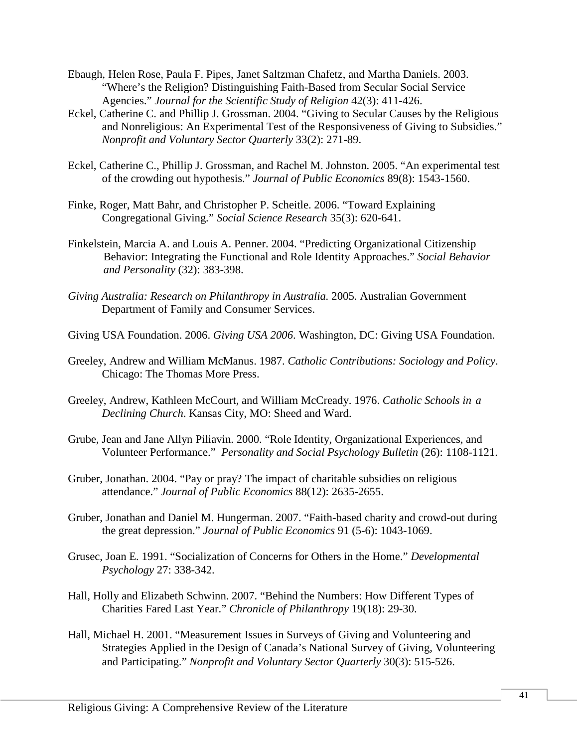- Ebaugh, Helen Rose, Paula F. Pipes, Janet Saltzman Chafetz, and Martha Daniels. 2003. "Where's the Religion? Distinguishing Faith-Based from Secular Social Service Agencies." *Journal for the Scientific Study of Religion* 42(3): 411-426.
- Eckel, Catherine C. and Phillip J. Grossman. 2004. "Giving to Secular Causes by the Religious and Nonreligious: An Experimental Test of the Responsiveness of Giving to Subsidies." *Nonprofit and Voluntary Sector Quarterly* 33(2): 271-89.
- Eckel, Catherine C., Phillip J. Grossman, and Rachel M. Johnston. 2005. "An experimental test of the crowding out hypothesis." *Journal of Public Economics* 89(8): 1543-1560.
- Finke, Roger, Matt Bahr, and Christopher P. Scheitle. 2006. "Toward Explaining Congregational Giving." *Social Science Research* 35(3): 620-641.
- Finkelstein, Marcia A. and Louis A. Penner. 2004. "Predicting Organizational Citizenship Behavior: Integrating the Functional and Role Identity Approaches." *Social Behavior and Personality* (32): 383-398.
- *Giving Australia: Research on Philanthropy in Australia.* 2005. Australian Government Department of Family and Consumer Services.
- Giving USA Foundation. 2006. *Giving USA 2006*. Washington, DC: Giving USA Foundation.
- Greeley, Andrew and William McManus. 1987. *Catholic Contributions: Sociology and Policy*. Chicago: The Thomas More Press.
- Greeley, Andrew, Kathleen McCourt, and William McCready. 1976. *Catholic Schools in a Declining Church*. Kansas City, MO: Sheed and Ward.
- Grube, Jean and Jane Allyn Piliavin. 2000. "Role Identity, Organizational Experiences, and Volunteer Performance." *Personality and Social Psychology Bulletin* (26): 1108-1121.
- Gruber, Jonathan. 2004. "Pay or pray? The impact of charitable subsidies on religious attendance." *Journal of Public Economics* 88(12): 2635-2655.
- Gruber, Jonathan and Daniel M. Hungerman. 2007. "Faith-based charity and crowd-out during the great depression." *Journal of Public Economics* 91 (5-6): 1043-1069.
- Grusec, Joan E. 1991. "Socialization of Concerns for Others in the Home." *Developmental Psychology* 27: 338-342.
- Hall, Holly and Elizabeth Schwinn. 2007. "Behind the Numbers: How Different Types of Charities Fared Last Year." *Chronicle of Philanthropy* 19(18): 29-30.
- Hall, Michael H. 2001. "Measurement Issues in Surveys of Giving and Volunteering and Strategies Applied in the Design of Canada's National Survey of Giving, Volunteering and Participating." *Nonprofit and Voluntary Sector Quarterly* 30(3): 515-526.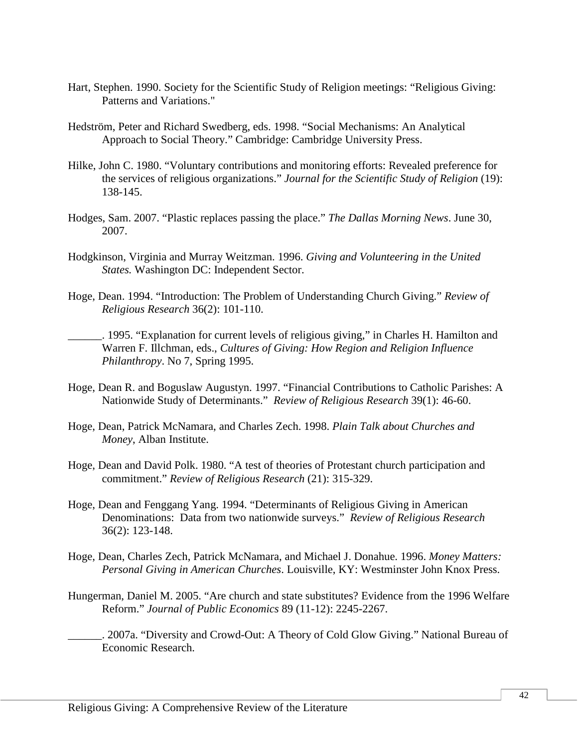- Hart, Stephen. 1990. Society for the Scientific Study of Religion meetings: "Religious Giving: Patterns and Variations."
- Hedström, Peter and Richard Swedberg, eds. 1998. "Social Mechanisms: An Analytical Approach to Social Theory." Cambridge: Cambridge University Press.
- Hilke, John C. 1980. "Voluntary contributions and monitoring efforts: Revealed preference for the services of religious organizations." *Journal for the Scientific Study of Religion* (19): 138-145.
- Hodges, Sam. 2007. "Plastic replaces passing the place." *The Dallas Morning News*. June 30, 2007.
- Hodgkinson, Virginia and Murray Weitzman. 1996. *Giving and Volunteering in the United States.* Washington DC: Independent Sector.
- Hoge, Dean. 1994. "Introduction: The Problem of Understanding Church Giving." *Review of Religious Research* 36(2): 101-110.
	- \_\_\_\_\_\_. 1995. "Explanation for current levels of religious giving," in Charles H. Hamilton and Warren F. Illchman, eds., *Cultures of Giving: How Region and Religion Influence Philanthropy*. No 7, Spring 1995.
- Hoge, Dean R. and Boguslaw Augustyn. 1997. "Financial Contributions to Catholic Parishes: A Nationwide Study of Determinants." *Review of Religious Research* 39(1): 46-60.
- Hoge, Dean, Patrick McNamara, and Charles Zech. 1998. *Plain Talk about Churches and Money*, Alban Institute.
- Hoge, Dean and David Polk. 1980. "A test of theories of Protestant church participation and commitment." *Review of Religious Research* (21): 315-329.
- Hoge, Dean and Fenggang Yang. 1994. "Determinants of Religious Giving in American Denominations: Data from two nationwide surveys." *Review of Religious Research* 36(2): 123-148.
- Hoge, Dean, Charles Zech, Patrick McNamara, and Michael J. Donahue. 1996. *Money Matters: Personal Giving in American Churches*. Louisville, KY: Westminster John Knox Press.
- Hungerman, Daniel M. 2005. "Are church and state substitutes? Evidence from the 1996 Welfare Reform." *Journal of Public Economics* 89 (11-12): 2245-2267.
	- \_\_\_\_\_\_. 2007a. "Diversity and Crowd-Out: A Theory of Cold Glow Giving." National Bureau of Economic Research.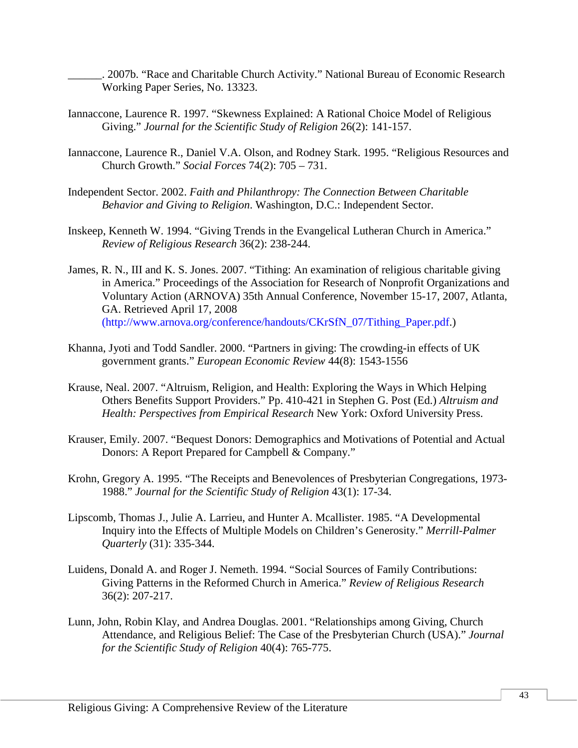\_\_\_\_\_\_. 2007b. "Race and Charitable Church Activity." National Bureau of Economic Research Working Paper Series, No. 13323.

- Iannaccone, Laurence R. 1997. "Skewness Explained: A Rational Choice Model of Religious Giving." *Journal for the Scientific Study of Religion* 26(2): 141-157.
- Iannaccone, Laurence R., Daniel V.A. Olson, and Rodney Stark. 1995. "Religious Resources and Church Growth." *Social Forces* 74(2): 705 – 731.
- Independent Sector. 2002. *Faith and Philanthropy: The Connection Between Charitable Behavior and Giving to Religion*. Washington, D.C.: Independent Sector.
- Inskeep, Kenneth W. 1994. "Giving Trends in the Evangelical Lutheran Church in America." *Review of Religious Research* 36(2): 238-244.
- James, R. N., III and K. S. Jones. 2007. "Tithing: An examination of religious charitable giving in America." Proceedings of the Association for Research of Nonprofit Organizations and Voluntary Action (ARNOVA) 35th Annual Conference, November 15-17, 2007, Atlanta, GA. Retrieved April 17, 2008 (http://www.arnova.org/conference/handouts/CKrSfN\_07/Tithing\_Paper.pdf.)
- Khanna, Jyoti and Todd Sandler. 2000. "Partners in giving: The crowding-in effects of UK government grants." *European Economic Review* 44(8): 1543-1556
- Krause, Neal. 2007. "Altruism, Religion, and Health: Exploring the Ways in Which Helping Others Benefits Support Providers." Pp. 410-421 in Stephen G. Post (Ed.) *Altruism and Health: Perspectives from Empirical Research* New York: Oxford University Press.
- Krauser, Emily. 2007. "Bequest Donors: Demographics and Motivations of Potential and Actual Donors: A Report Prepared for Campbell & Company."
- Krohn, Gregory A. 1995. "The Receipts and Benevolences of Presbyterian Congregations, 1973- 1988." *Journal for the Scientific Study of Religion* 43(1): 17-34.
- Lipscomb, Thomas J., Julie A. Larrieu, and Hunter A. Mcallister. 1985. "A Developmental Inquiry into the Effects of Multiple Models on Children's Generosity." *Merrill-Palmer Quarterly* (31): 335-344.
- Luidens, Donald A. and Roger J. Nemeth. 1994. "Social Sources of Family Contributions: Giving Patterns in the Reformed Church in America." *Review of Religious Research* 36(2): 207-217.
- Lunn, John, Robin Klay, and Andrea Douglas. 2001. "Relationships among Giving, Church Attendance, and Religious Belief: The Case of the Presbyterian Church (USA)." *Journal for the Scientific Study of Religion* 40(4): 765-775.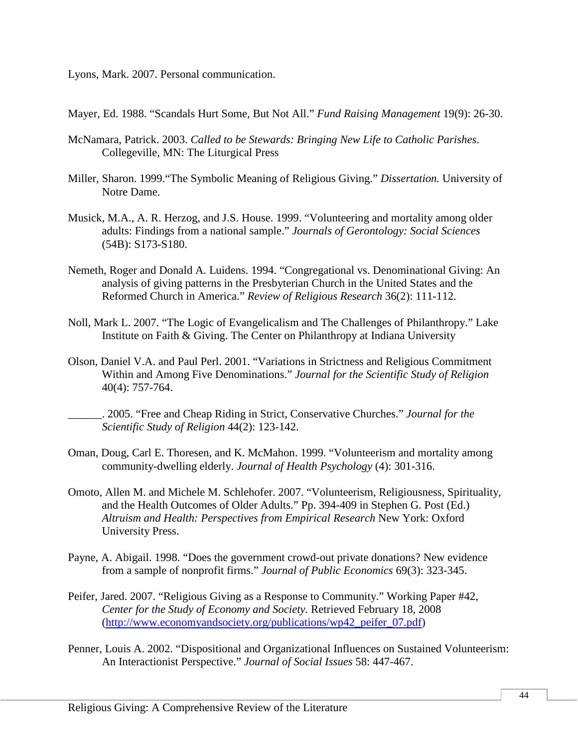Lyons, Mark. 2007. Personal communication.

Mayer, Ed. 1988. "Scandals Hurt Some, But Not All." *Fund Raising Management* 19(9): 26-30.

- McNamara, Patrick. 2003. *Called to be Stewards: Bringing New Life to Catholic Parishes*. Collegeville, MN: The Liturgical Press
- Miller, Sharon. 1999."The Symbolic Meaning of Religious Giving." *Dissertation.* University of Notre Dame.
- Musick, M.A., A. R. Herzog, and J.S. House. 1999. "Volunteering and mortality among older adults: Findings from a national sample." *Journals of Gerontology: Social Sciences* (54B): S173-S180.
- Nemeth, Roger and Donald A. Luidens. 1994. "Congregational vs. Denominational Giving: An analysis of giving patterns in the Presbyterian Church in the United States and the Reformed Church in America." *Review of Religious Research* 36(2): 111-112.
- Noll, Mark L. 2007. "The Logic of Evangelicalism and The Challenges of Philanthropy." Lake Institute on Faith & Giving. The Center on Philanthropy at Indiana University
- Olson, Daniel V.A. and Paul Perl. 2001. "Variations in Strictness and Religious Commitment Within and Among Five Denominations." *Journal for the Scientific Study of Religion* 40(4): 757-764.
	- \_\_\_\_\_\_. 2005. "Free and Cheap Riding in Strict, Conservative Churches." *Journal for the Scientific Study of Religion* 44(2): 123-142.
- Oman, Doug, Carl E. Thoresen, and K. McMahon. 1999. "Volunteerism and mortality among community-dwelling elderly. *Journal of Health Psychology* (4): 301-316.
- Omoto, Allen M. and Michele M. Schlehofer. 2007. "Volunteerism, Religiousness, Spirituality, and the Health Outcomes of Older Adults." Pp. 394-409 in Stephen G. Post (Ed.) *Altruism and Health: Perspectives from Empirical Research* New York: Oxford University Press.
- Payne, A. Abigail. 1998. "Does the government crowd-out private donations? New evidence from a sample of nonprofit firms." *Journal of Public Economics* 69(3): 323-345.
- Peifer, Jared. 2007. "Religious Giving as a Response to Community." Working Paper #42, *Center for the Study of Economy and Society.* Retrieved February 18, 2008 [\(http://www.economyandsociety.org/publications/wp42\\_peifer\\_07.pdf\)](http://www.economyandsociety.org/publications/wp42_peifer_07.pdf)
- Penner, Louis A. 2002. "Dispositional and Organizational Influences on Sustained Volunteerism: An Interactionist Perspective." *Journal of Social Issues* 58: 447-467.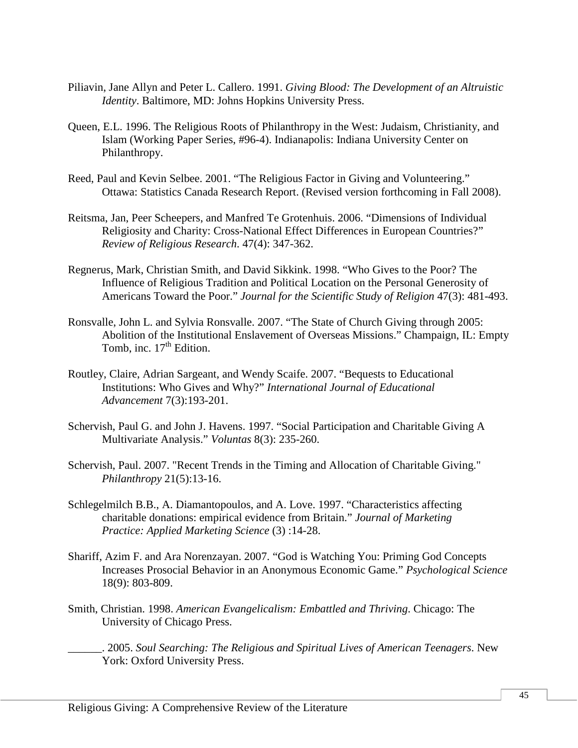- Piliavin, Jane Allyn and Peter L. Callero. 1991. *Giving Blood: The Development of an Altruistic Identity*. Baltimore, MD: Johns Hopkins University Press.
- Queen, E.L. 1996. The Religious Roots of Philanthropy in the West: Judaism, Christianity, and Islam (Working Paper Series, #96-4). Indianapolis: Indiana University Center on Philanthropy.
- Reed, Paul and Kevin Selbee. 2001. "The Religious Factor in Giving and Volunteering." Ottawa: Statistics Canada Research Report. (Revised version forthcoming in Fall 2008).
- Reitsma, Jan, Peer Scheepers, and Manfred Te Grotenhuis. 2006. "Dimensions of Individual Religiosity and Charity: Cross-National Effect Differences in European Countries?" *Review of Religious Research*. 47(4): 347-362.
- Regnerus, Mark, Christian Smith, and David Sikkink. 1998. "Who Gives to the Poor? The Influence of Religious Tradition and Political Location on the Personal Generosity of Americans Toward the Poor." *Journal for the Scientific Study of Religion* 47(3): 481-493.
- Ronsvalle, John L. and Sylvia Ronsvalle. 2007. "The State of Church Giving through 2005: Abolition of the Institutional Enslavement of Overseas Missions." Champaign, IL: Empty Tomb, inc.  $17<sup>th</sup>$  Edition.
- Routley, Claire, Adrian Sargeant, and Wendy Scaife. 2007. "Bequests to Educational Institutions: Who Gives and Why?" *International Journal of Educational Advancement* 7(3):193-201.
- Schervish, Paul G. and John J. Havens. 1997. "Social Participation and Charitable Giving A Multivariate Analysis." *Voluntas* 8(3): 235-260.
- Schervish, Paul. 2007. "Recent Trends in the Timing and Allocation of Charitable Giving." *Philanthropy* 21(5):13-16.
- Schlegelmilch B.B., A. Diamantopoulos, and A. Love. 1997. "Characteristics affecting charitable donations: empirical evidence from Britain." *Journal of Marketing Practice: Applied Marketing Science* (3) :14-28.
- Shariff, Azim F. and Ara Norenzayan. 2007. "God is Watching You: Priming God Concepts Increases Prosocial Behavior in an Anonymous Economic Game." *Psychological Science*  18(9): 803-809.
- Smith, Christian. 1998. *American Evangelicalism: Embattled and Thriving*. Chicago: The University of Chicago Press.
	- \_\_\_\_\_\_. 2005. *Soul Searching: The Religious and Spiritual Lives of American Teenagers*. New York: Oxford University Press.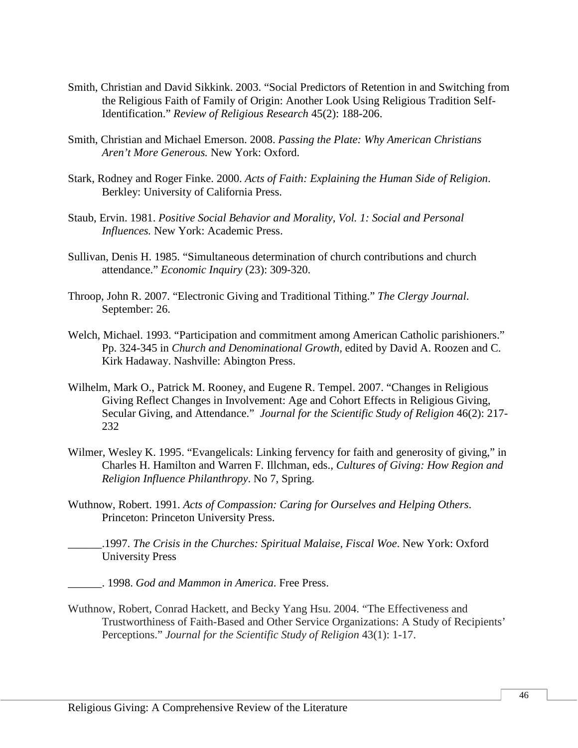- Smith, Christian and David Sikkink. 2003. "Social Predictors of Retention in and Switching from the Religious Faith of Family of Origin: Another Look Using Religious Tradition Self-Identification." *Review of Religious Research* 45(2): 188-206.
- Smith, Christian and Michael Emerson. 2008. *Passing the Plate: Why American Christians Aren't More Generous.* New York: Oxford.
- Stark, Rodney and Roger Finke. 2000. *Acts of Faith: Explaining the Human Side of Religion*. Berkley: University of California Press.
- Staub, Ervin. 1981. *Positive Social Behavior and Morality, Vol. 1: Social and Personal Influences.* New York: Academic Press.
- Sullivan, Denis H. 1985. "Simultaneous determination of church contributions and church attendance." *Economic Inquiry* (23): 309-320.
- Throop, John R. 2007. "Electronic Giving and Traditional Tithing." *The Clergy Journal*. September: 26.
- Welch, Michael. 1993. "Participation and commitment among American Catholic parishioners." Pp. 324-345 in *Church and Denominational Growth,* edited by David A. Roozen and C. Kirk Hadaway. Nashville: Abington Press.
- Wilhelm, Mark O., Patrick M. Rooney, and Eugene R. Tempel. 2007. "Changes in Religious Giving Reflect Changes in Involvement: Age and Cohort Effects in Religious Giving, Secular Giving, and Attendance." *Journal for the Scientific Study of Religion* 46(2): 217- 232
- Wilmer, Wesley K. 1995. "Evangelicals: Linking fervency for faith and generosity of giving," in Charles H. Hamilton and Warren F. Illchman, eds., *Cultures of Giving: How Region and Religion Influence Philanthropy*. No 7, Spring.
- Wuthnow, Robert. 1991. *Acts of Compassion: Caring for Ourselves and Helping Others*. Princeton: Princeton University Press.
- \_\_\_\_\_\_.1997. *The Crisis in the Churches: Spiritual Malaise, Fiscal Woe*. New York: Oxford University Press
- \_\_\_\_\_\_. 1998. *God and Mammon in America*. Free Press.
- Wuthnow, Robert, Conrad Hackett, and Becky Yang Hsu. 2004. "The Effectiveness and Trustworthiness of Faith-Based and Other Service Organizations: A Study of Recipients' Perceptions." *Journal for the Scientific Study of Religion* 43(1): 1-17.